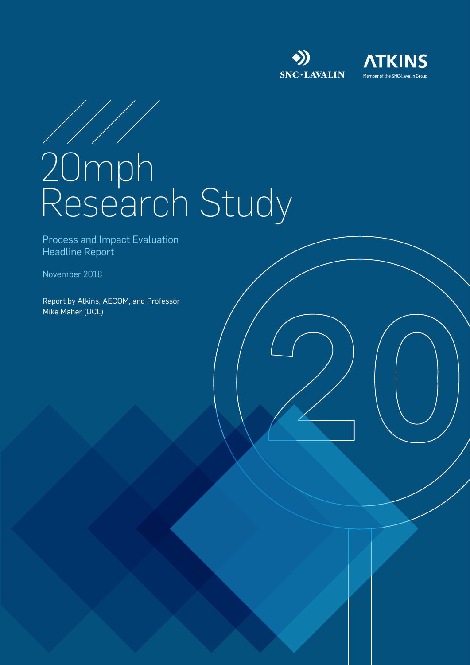





# 20mph Research Study

Process and Impact Evaluation Headline Report

November 2018

Report by Atkins, AECOM, and Professor Mike Maher (UCL)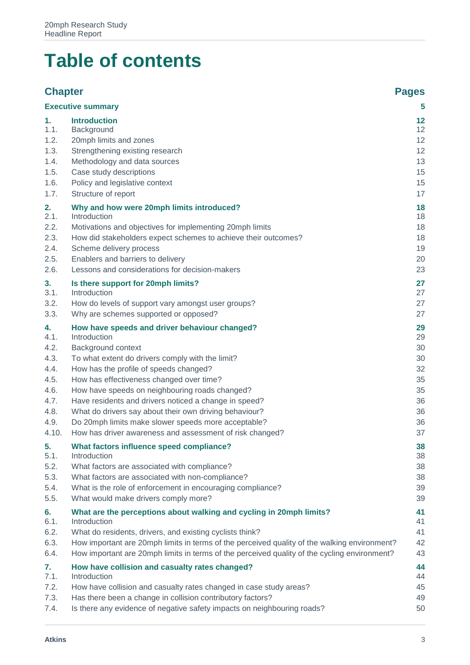## **Table of contents**

#### **Chapter Pages [Executive summary](#page-4-0) 5 1. [Introduction](#page-11-0) 12** 1.1. [Background](#page-11-1) 12 1.2. 20 mph limits and zones 12 1.3. [Strengthening existing research](#page-11-3) 12 1.4. [Methodology and data sources](#page-12-0) 13 1.5. [Case study descriptions](#page-14-0) 15 1.6. [Policy and legislative context](#page-14-1) 15 1.7. [Structure of report](#page-16-0) 17 **2. [Why and how were 20mph limits introduced?](#page-17-0) 18** 2.1. [Introduction](#page-17-1) 18 2.2. [Motivations and objectives for implementing 20mph limits](#page-17-2) 18 2.3. [How did stakeholders expect schemes to achieve their outcomes?](#page-17-3) 18 2.4. [Scheme delivery process](#page-18-0) 2.4. Scheme delivery process 2.4. 2.5. [Enablers and barriers to delivery](#page-19-0) 20 and 20 and 20 and 20 and 20 and 20 and 20 and 20 and 20 and 20 and 20 and 20 and 20 and 20 and 20 and 20 and 20 and 20 and 20 and 20 and 20 and 20 and 20 and 20 and 20 and 20 and 2 2.6. [Lessons and considerations for decision-makers](#page-22-0) 23 **3. [Is there support for 20mph limits?](#page-26-0) 27** 3.1. [Introduction](#page-26-1) 27 3.2. [How do levels of support vary amongst user groups?](#page-26-2) 27 3.3. [Why are schemes supported or opposed?](#page-26-3) 27 **4. [How have speeds and driver behaviour changed?](#page-28-0) 29** 4.1. [Introduction](#page-28-1) 29 4.2. [Background context](#page-29-0) 30 4.3. [To what extent do drivers comply with the limit?](#page-29-1) 30 4.4. [How has the profile of speeds changed?](#page-31-0) 32 4.5. [How has effectiveness changed over time?](#page-34-0) 35 4.6. [How have speeds on neighbouring roads changed?](#page-34-1) 35 4.7. [Have residents and drivers noticed a change in speed?](#page-35-0) 36 4.8. [What do drivers say about their own driving behaviour?](#page-35-1) 36 4.9. [Do 20mph limits make slower speeds more acceptable?](#page-35-2) 36 4.10. [How has driver awareness and assessment of risk changed?](#page-36-0) 37 **5. [What factors influence speed compliance?](#page-37-0) 38** 5.1. [Introduction](#page-37-1) 38 5.2. [What factors are associated with compliance?](#page-37-2) 38 5.3. [What factors are associated with non-compliance?](#page-37-3) 38 5.4. [What is the role of enforcement in encouraging compliance?](#page-38-0) 39 5.5. [What would make drivers comply more?](#page-38-1) 39 **6. [What are the perceptions about walking and cycling in 20mph limits?](#page-40-0) 41** 6.1. [Introduction](#page-40-1) 41 6.2. [What do residents, drivers, and existing cyclists think?](#page-40-2) 41 6.3. [How important are 20mph limits in terms of the perceived quality of the walking environment?](#page-41-0) 42 6.4. [How important are 20mph limits in terms of the perceived quality of the cycling environment?](#page-42-0) 43 **7. [How have collision and casualty rates changed?](#page-43-0) 44** 7.1. [Introduction](#page-43-1) 44 7.2. [How have collision and casualty rates changed in case study areas?](#page-44-0) 45 7.3. [Has there been a change in collision contributory factors?](#page-48-0) 49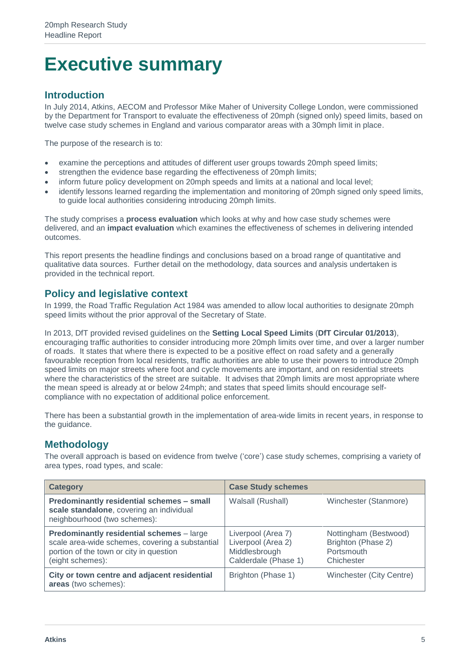## <span id="page-4-0"></span>**Executive summary**

#### **Introduction**

In July 2014, Atkins, AECOM and Professor Mike Maher of University College London, were commissioned by the Department for Transport to evaluate the effectiveness of 20mph (signed only) speed limits, based on twelve case study schemes in England and various comparator areas with a 30mph limit in place.

The purpose of the research is to:

- examine the perceptions and attitudes of different user groups towards 20mph speed limits;
- strengthen the evidence base regarding the effectiveness of 20mph limits;
- inform future policy development on 20mph speeds and limits at a national and local level;
- identify lessons learned regarding the implementation and monitoring of 20mph signed only speed limits, to guide local authorities considering introducing 20mph limits.

The study comprises a **process evaluation** which looks at why and how case study schemes were delivered, and an **impact evaluation** which examines the effectiveness of schemes in delivering intended outcomes.

This report presents the headline findings and conclusions based on a broad range of quantitative and qualitative data sources. Further detail on the methodology, data sources and analysis undertaken is provided in the technical report.

#### **Policy and legislative context**

In 1999, the Road Traffic Regulation Act 1984 was amended to allow local authorities to designate 20mph speed limits without the prior approval of the Secretary of State.

In 2013, DfT provided revised guidelines on the **Setting Local Speed Limits** (**DfT Circular 01/2013**), encouraging traffic authorities to consider introducing more 20mph limits over time, and over a larger number of roads. It states that where there is expected to be a positive effect on road safety and a generally favourable reception from local residents, traffic authorities are able to use their powers to introduce 20mph speed limits on major streets where foot and cycle movements are important, and on residential streets where the characteristics of the street are suitable. It advises that 20mph limits are most appropriate where the mean speed is already at or below 24mph; and states that speed limits should encourage selfcompliance with no expectation of additional police enforcement.

There has been a substantial growth in the implementation of area-wide limits in recent years, in response to the guidance.

#### **Methodology**

The overall approach is based on evidence from twelve ('core') case study schemes, comprising a variety of area types, road types, and scale:

| <b>Category</b>                                                                                                                                             | <b>Case Study schemes</b>                                                         |                                                                         |
|-------------------------------------------------------------------------------------------------------------------------------------------------------------|-----------------------------------------------------------------------------------|-------------------------------------------------------------------------|
| Predominantly residential schemes - small<br>scale standalone, covering an individual<br>neighbourhood (two schemes):                                       | Walsall (Rushall)                                                                 | Winchester (Stanmore)                                                   |
| Predominantly residential schemes - large<br>scale area-wide schemes, covering a substantial<br>portion of the town or city in question<br>(eight schemes): | Liverpool (Area 7)<br>Liverpool (Area 2)<br>Middlesbrough<br>Calderdale (Phase 1) | Nottingham (Bestwood)<br>Brighton (Phase 2)<br>Portsmouth<br>Chichester |
| City or town centre and adjacent residential<br>areas (two schemes):                                                                                        | Brighton (Phase 1)                                                                | Winchester (City Centre)                                                |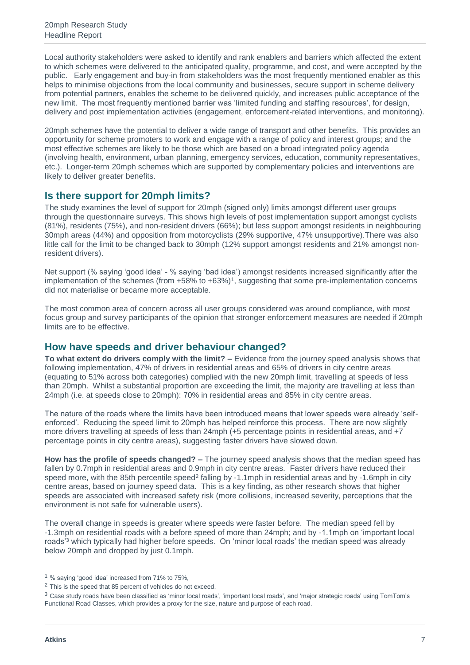Local authority stakeholders were asked to identify and rank enablers and barriers which affected the extent to which schemes were delivered to the anticipated quality, programme, and cost, and were accepted by the public. Early engagement and buy-in from stakeholders was the most frequently mentioned enabler as this helps to minimise objections from the local community and businesses, secure support in scheme delivery from potential partners, enables the scheme to be delivered quickly, and increases public acceptance of the new limit. The most frequently mentioned barrier was 'limited funding and staffing resources', for design, delivery and post implementation activities (engagement, enforcement-related interventions, and monitoring).

20mph schemes have the potential to deliver a wide range of transport and other benefits. This provides an opportunity for scheme promoters to work and engage with a range of policy and interest groups; and the most effective schemes are likely to be those which are based on a broad integrated policy agenda (involving health, environment, urban planning, emergency services, education, community representatives, etc.). Longer-term 20mph schemes which are supported by complementary policies and interventions are likely to deliver greater benefits.

#### **Is there support for 20mph limits?**

The study examines the level of support for 20mph (signed only) limits amongst different user groups through the questionnaire surveys. This shows high levels of post implementation support amongst cyclists (81%), residents (75%), and non-resident drivers (66%); but less support amongst residents in neighbouring 30mph areas (44%) and opposition from motorcyclists (29% supportive, 47% unsupportive).There was also little call for the limit to be changed back to 30mph (12% support amongst residents and 21% amongst nonresident drivers).

Net support (% saying 'good idea' - % saying 'bad idea') amongst residents increased significantly after the implementation of the schemes (from +58% to +63%)<sup>1</sup>, suggesting that some pre-implementation concerns did not materialise or became more acceptable.

The most common area of concern across all user groups considered was around compliance, with most focus group and survey participants of the opinion that stronger enforcement measures are needed if 20mph limits are to be effective.

#### **How have speeds and driver behaviour changed?**

**To what extent do drivers comply with the limit? –** Evidence from the journey speed analysis shows that following implementation, 47% of drivers in residential areas and 65% of drivers in city centre areas (equating to 51% across both categories) complied with the new 20mph limit, travelling at speeds of less than 20mph. Whilst a substantial proportion are exceeding the limit, the majority are travelling at less than 24mph (i.e. at speeds close to 20mph): 70% in residential areas and 85% in city centre areas.

The nature of the roads where the limits have been introduced means that lower speeds were already 'selfenforced'. Reducing the speed limit to 20mph has helped reinforce this process. There are now slightly more drivers travelling at speeds of less than 24mph (+5 percentage points in residential areas, and +7 percentage points in city centre areas), suggesting faster drivers have slowed down.

**How has the profile of speeds changed? –** The journey speed analysis shows that the median speed has fallen by 0.7mph in residential areas and 0.9mph in city centre areas. Faster drivers have reduced their speed more, with the 85th percentile speed<sup>2</sup> falling by -1.1mph in residential areas and by -1.6mph in city centre areas, based on journey speed data. This is a key finding, as other research shows that higher speeds are associated with increased safety risk (more collisions, increased severity, perceptions that the environment is not safe for vulnerable users).

The overall change in speeds is greater where speeds were faster before. The median speed fell by -1.3mph on residential roads with a before speed of more than 24mph; and by -1.1mph on 'important local roads<sup>'3</sup> which typically had higher before speeds. On 'minor local roads' the median speed was already below 20mph and dropped by just 0.1mph.

<sup>1</sup> % saying 'good idea' increased from 71% to 75%,

<sup>&</sup>lt;sup>2</sup> This is the speed that 85 percent of vehicles do not exceed.

<sup>&</sup>lt;sup>3</sup> Case study roads have been classified as 'minor local roads', 'important local roads', and 'major strategic roads' using TomTom's Functional Road Classes, which provides a proxy for the size, nature and purpose of each road.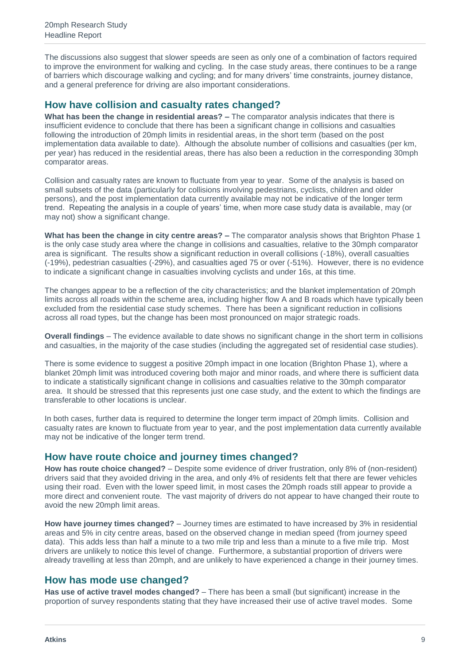The discussions also suggest that slower speeds are seen as only one of a combination of factors required to improve the environment for walking and cycling. In the case study areas, there continues to be a range of barriers which discourage walking and cycling; and for many drivers' time constraints, journey distance, and a general preference for driving are also important considerations.

#### **How have collision and casualty rates changed?**

**What has been the change in residential areas? –** The comparator analysis indicates that there is insufficient evidence to conclude that there has been a significant change in collisions and casualties following the introduction of 20mph limits in residential areas, in the short term (based on the post implementation data available to date). Although the absolute number of collisions and casualties (per km, per year) has reduced in the residential areas, there has also been a reduction in the corresponding 30mph comparator areas.

Collision and casualty rates are known to fluctuate from year to year. Some of the analysis is based on small subsets of the data (particularly for collisions involving pedestrians, cyclists, children and older persons), and the post implementation data currently available may not be indicative of the longer term trend. Repeating the analysis in a couple of years' time, when more case study data is available, may (or may not) show a significant change.

**What has been the change in city centre areas? –** The comparator analysis shows that Brighton Phase 1 is the only case study area where the change in collisions and casualties, relative to the 30mph comparator area is significant. The results show a significant reduction in overall collisions (-18%), overall casualties (-19%), pedestrian casualties (-29%), and casualties aged 75 or over (-51%). However, there is no evidence to indicate a significant change in casualties involving cyclists and under 16s, at this time.

The changes appear to be a reflection of the city characteristics; and the blanket implementation of 20mph limits across all roads within the scheme area, including higher flow A and B roads which have typically been excluded from the residential case study schemes. There has been a significant reduction in collisions across all road types, but the change has been most pronounced on major strategic roads.

**Overall findings** – The evidence available to date shows no significant change in the short term in collisions and casualties, in the majority of the case studies (including the aggregated set of residential case studies).

There is some evidence to suggest a positive 20mph impact in one location (Brighton Phase 1), where a blanket 20mph limit was introduced covering both major and minor roads, and where there is sufficient data to indicate a statistically significant change in collisions and casualties relative to the 30mph comparator area. It should be stressed that this represents just one case study, and the extent to which the findings are transferable to other locations is unclear.

In both cases, further data is required to determine the longer term impact of 20mph limits. Collision and casualty rates are known to fluctuate from year to year, and the post implementation data currently available may not be indicative of the longer term trend.

#### **How have route choice and journey times changed?**

**How has route choice changed?** – Despite some evidence of driver frustration, only 8% of (non-resident) drivers said that they avoided driving in the area, and only 4% of residents felt that there are fewer vehicles using their road. Even with the lower speed limit, in most cases the 20mph roads still appear to provide a more direct and convenient route. The vast majority of drivers do not appear to have changed their route to avoid the new 20mph limit areas.

**How have journey times changed?** – Journey times are estimated to have increased by 3% in residential areas and 5% in city centre areas, based on the observed change in median speed (from journey speed data). This adds less than half a minute to a two mile trip and less than a minute to a five mile trip. Most drivers are unlikely to notice this level of change. Furthermore, a substantial proportion of drivers were already travelling at less than 20mph, and are unlikely to have experienced a change in their journey times.

#### **How has mode use changed?**

**Has use of active travel modes changed?** – There has been a small (but significant) increase in the proportion of survey respondents stating that they have increased their use of active travel modes. Some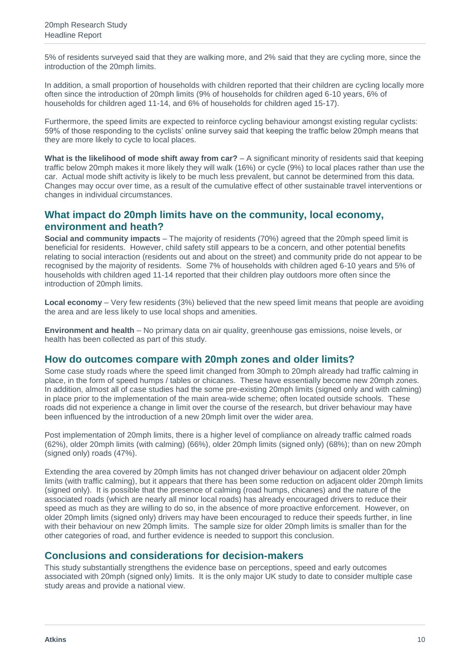5% of residents surveyed said that they are walking more, and 2% said that they are cycling more, since the introduction of the 20mph limits.

In addition, a small proportion of households with children reported that their children are cycling locally more often since the introduction of 20mph limits (9% of households for children aged 6-10 years, 6% of households for children aged 11-14, and 6% of households for children aged 15-17).

Furthermore, the speed limits are expected to reinforce cycling behaviour amongst existing regular cyclists: 59% of those responding to the cyclists' online survey said that keeping the traffic below 20mph means that they are more likely to cycle to local places.

**What is the likelihood of mode shift away from car?** – A significant minority of residents said that keeping traffic below 20mph makes it more likely they will walk (16%) or cycle (9%) to local places rather than use the car. Actual mode shift activity is likely to be much less prevalent, but cannot be determined from this data. Changes may occur over time, as a result of the cumulative effect of other sustainable travel interventions or changes in individual circumstances.

#### **What impact do 20mph limits have on the community, local economy, environment and heath?**

**Social and community impacts** – The majority of residents (70%) agreed that the 20mph speed limit is beneficial for residents. However, child safety still appears to be a concern, and other potential benefits relating to social interaction (residents out and about on the street) and community pride do not appear to be recognised by the majority of residents. Some 7% of households with children aged 6-10 years and 5% of households with children aged 11-14 reported that their children play outdoors more often since the introduction of 20mph limits.

**Local economy** – Very few residents (3%) believed that the new speed limit means that people are avoiding the area and are less likely to use local shops and amenities.

**Environment and health** – No primary data on air quality, greenhouse gas emissions, noise levels, or health has been collected as part of this study.

#### **How do outcomes compare with 20mph zones and older limits?**

Some case study roads where the speed limit changed from 30mph to 20mph already had traffic calming in place, in the form of speed humps / tables or chicanes. These have essentially become new 20mph zones. In addition, almost all of case studies had the some pre-existing 20mph limits (signed only and with calming) in place prior to the implementation of the main area-wide scheme; often located outside schools. These roads did not experience a change in limit over the course of the research, but driver behaviour may have been influenced by the introduction of a new 20mph limit over the wider area.

Post implementation of 20mph limits, there is a higher level of compliance on already traffic calmed roads (62%), older 20mph limits (with calming) (66%), older 20mph limits (signed only) (68%); than on new 20mph (signed only) roads (47%).

Extending the area covered by 20mph limits has not changed driver behaviour on adjacent older 20mph limits (with traffic calming), but it appears that there has been some reduction on adjacent older 20mph limits (signed only). It is possible that the presence of calming (road humps, chicanes) and the nature of the associated roads (which are nearly all minor local roads) has already encouraged drivers to reduce their speed as much as they are willing to do so, in the absence of more proactive enforcement. However, on older 20mph limits (signed only) drivers may have been encouraged to reduce their speeds further, in line with their behaviour on new 20mph limits. The sample size for older 20mph limits is smaller than for the other categories of road, and further evidence is needed to support this conclusion.

#### **Conclusions and considerations for decision-makers**

This study substantially strengthens the evidence base on perceptions, speed and early outcomes associated with 20mph (signed only) limits. It is the only major UK study to date to consider multiple case study areas and provide a national view.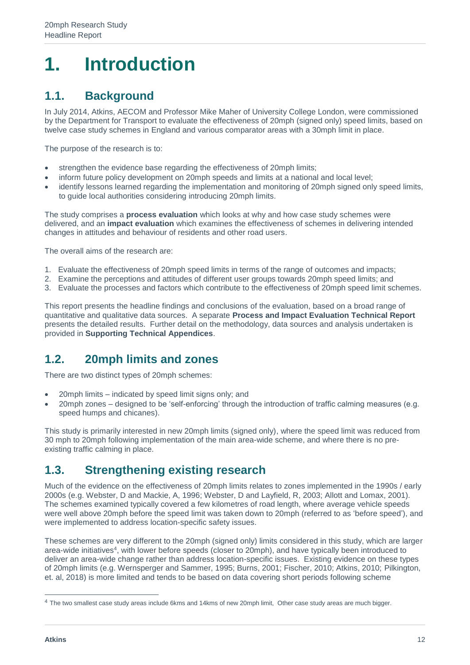## <span id="page-11-0"></span>**1. Introduction**

## <span id="page-11-1"></span>**1.1. Background**

In July 2014, Atkins, AECOM and Professor Mike Maher of University College London, were commissioned by the Department for Transport to evaluate the effectiveness of 20mph (signed only) speed limits, based on twelve case study schemes in England and various comparator areas with a 30mph limit in place.

The purpose of the research is to:

- strengthen the evidence base regarding the effectiveness of 20mph limits;
- inform future policy development on 20mph speeds and limits at a national and local level;
- identify lessons learned regarding the implementation and monitoring of 20mph signed only speed limits, to guide local authorities considering introducing 20mph limits.

The study comprises a **process evaluation** which looks at why and how case study schemes were delivered, and an **impact evaluation** which examines the effectiveness of schemes in delivering intended changes in attitudes and behaviour of residents and other road users.

The overall aims of the research are:

- 1. Evaluate the effectiveness of 20mph speed limits in terms of the range of outcomes and impacts;
- 2. Examine the perceptions and attitudes of different user groups towards 20mph speed limits; and
- 3. Evaluate the processes and factors which contribute to the effectiveness of 20mph speed limit schemes.

This report presents the headline findings and conclusions of the evaluation, based on a broad range of quantitative and qualitative data sources. A separate **Process and Impact Evaluation Technical Report** presents the detailed results. Further detail on the methodology, data sources and analysis undertaken is provided in **Supporting Technical Appendices**.

#### <span id="page-11-2"></span>**1.2. 20mph limits and zones**

There are two distinct types of 20mph schemes:

- 20mph limits indicated by speed limit signs only; and
- 20mph zones designed to be 'self-enforcing' through the introduction of traffic calming measures (e.g. speed humps and chicanes).

This study is primarily interested in new 20mph limits (signed only), where the speed limit was reduced from 30 mph to 20mph following implementation of the main area-wide scheme, and where there is no preexisting traffic calming in place.

## <span id="page-11-3"></span>**1.3. Strengthening existing research**

Much of the evidence on the effectiveness of 20mph limits relates to zones implemented in the 1990s / early 2000s (e.g. Webster, D and Mackie, A, 1996; Webster, D and Layfield, R, 2003; Allott and Lomax, 2001). The schemes examined typically covered a few kilometres of road length, where average vehicle speeds were well above 20mph before the speed limit was taken down to 20mph (referred to as 'before speed'), and were implemented to address location-specific safety issues.

These schemes are very different to the 20mph (signed only) limits considered in this study, which are larger area-wide initiatives<sup>4</sup>, with lower before speeds (closer to 20mph), and have typically been introduced to deliver an area-wide change rather than address location-specific issues. Existing evidence on these types of 20mph limits (e.g. Wernsperger and Sammer, 1995; Burns, 2001; Fischer, 2010; Atkins, 2010; Pilkington, et. al, 2018) is more limited and tends to be based on data covering short periods following scheme

<sup>4</sup> The two smallest case study areas include 6kms and 14kms of new 20mph limit, Other case study areas are much bigger.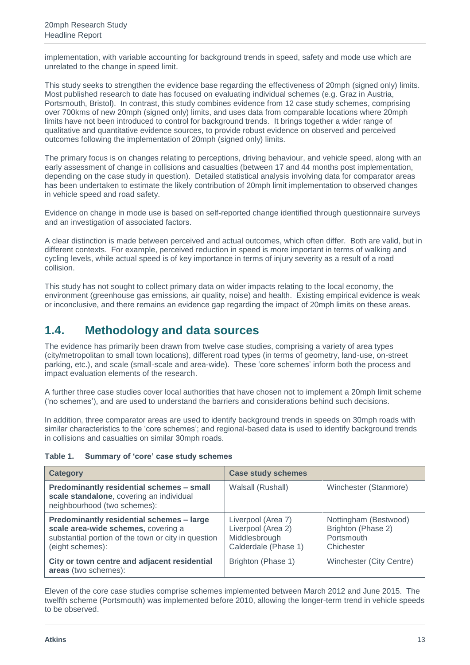implementation, with variable accounting for background trends in speed, safety and mode use which are unrelated to the change in speed limit.

This study seeks to strengthen the evidence base regarding the effectiveness of 20mph (signed only) limits. Most published research to date has focused on evaluating individual schemes (e.g. Graz in Austria, Portsmouth, Bristol). In contrast, this study combines evidence from 12 case study schemes, comprising over 700kms of new 20mph (signed only) limits, and uses data from comparable locations where 20mph limits have not been introduced to control for background trends. It brings together a wider range of qualitative and quantitative evidence sources, to provide robust evidence on observed and perceived outcomes following the implementation of 20mph (signed only) limits.

The primary focus is on changes relating to perceptions, driving behaviour, and vehicle speed, along with an early assessment of change in collisions and casualties (between 17 and 44 months post implementation, depending on the case study in question). Detailed statistical analysis involving data for comparator areas has been undertaken to estimate the likely contribution of 20mph limit implementation to observed changes in vehicle speed and road safety.

Evidence on change in mode use is based on self-reported change identified through questionnaire surveys and an investigation of associated factors.

A clear distinction is made between perceived and actual outcomes, which often differ. Both are valid, but in different contexts. For example, perceived reduction in speed is more important in terms of walking and cycling levels, while actual speed is of key importance in terms of injury severity as a result of a road collision.

This study has not sought to collect primary data on wider impacts relating to the local economy, the environment (greenhouse gas emissions, air quality, noise) and health. Existing empirical evidence is weak or inconclusive, and there remains an evidence gap regarding the impact of 20mph limits on these areas.

#### <span id="page-12-0"></span>**1.4. Methodology and data sources**

The evidence has primarily been drawn from twelve case studies, comprising a variety of area types (city/metropolitan to small town locations), different road types (in terms of geometry, land-use, on-street parking, etc.), and scale (small-scale and area-wide). These 'core schemes' inform both the process and impact evaluation elements of the research.

A further three case studies cover local authorities that have chosen not to implement a 20mph limit scheme ('no schemes'), and are used to understand the barriers and considerations behind such decisions.

In addition, three comparator areas are used to identify background trends in speeds on 30mph roads with similar characteristics to the 'core schemes'; and regional-based data is used to identify background trends in collisions and casualties on similar 30mph roads.

#### **Table 1. Summary of 'core' case study schemes**

| <b>Category</b>                                                                                                                                             | <b>Case study schemes</b>                                                         |                                                                         |
|-------------------------------------------------------------------------------------------------------------------------------------------------------------|-----------------------------------------------------------------------------------|-------------------------------------------------------------------------|
| Predominantly residential schemes - small<br>scale standalone, covering an individual<br>neighbourhood (two schemes):                                       | Walsall (Rushall)                                                                 | Winchester (Stanmore)                                                   |
| Predominantly residential schemes - large<br>scale area-wide schemes, covering a<br>substantial portion of the town or city in question<br>(eight schemes): | Liverpool (Area 7)<br>Liverpool (Area 2)<br>Middlesbrough<br>Calderdale (Phase 1) | Nottingham (Bestwood)<br>Brighton (Phase 2)<br>Portsmouth<br>Chichester |
| City or town centre and adjacent residential<br>areas (two schemes):                                                                                        | Brighton (Phase 1)                                                                | Winchester (City Centre)                                                |

Eleven of the core case studies comprise schemes implemented between March 2012 and June 2015. The twelfth scheme (Portsmouth) was implemented before 2010, allowing the longer-term trend in vehicle speeds to be observed.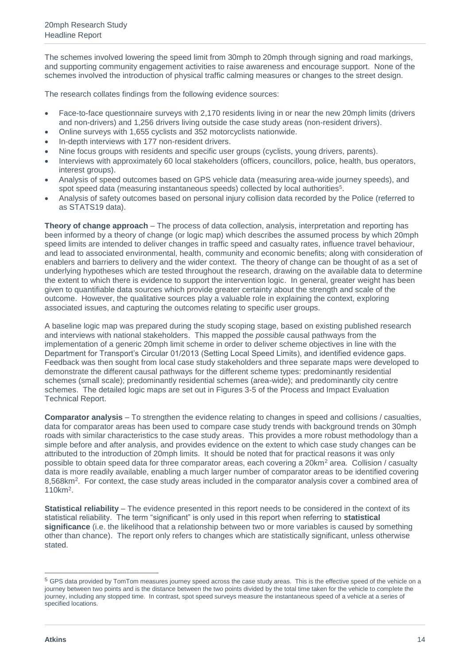The schemes involved lowering the speed limit from 30mph to 20mph through signing and road markings, and supporting community engagement activities to raise awareness and encourage support. None of the schemes involved the introduction of physical traffic calming measures or changes to the street design.

The research collates findings from the following evidence sources:

- Face-to-face questionnaire surveys with 2,170 residents living in or near the new 20mph limits (drivers and non-drivers) and 1,256 drivers living outside the case study areas (non-resident drivers).
- Online surveys with 1,655 cyclists and 352 motorcyclists nationwide.
- In-depth interviews with 177 non-resident drivers.
- Nine focus groups with residents and specific user groups (cyclists, young drivers, parents).
- Interviews with approximately 60 local stakeholders (officers, councillors, police, health, bus operators, interest groups).
- Analysis of speed outcomes based on GPS vehicle data (measuring area-wide journey speeds), and spot speed data (measuring instantaneous speeds) collected by local authorities<sup>5</sup>.
- Analysis of safety outcomes based on personal injury collision data recorded by the Police (referred to as STATS19 data).

**Theory of change approach** – The process of data collection, analysis, interpretation and reporting has been informed by a theory of change (or logic map) which describes the assumed process by which 20mph speed limits are intended to deliver changes in traffic speed and casualty rates, influence travel behaviour, and lead to associated environmental, health, community and economic benefits; along with consideration of enablers and barriers to delivery and the wider context. The theory of change can be thought of as a set of underlying hypotheses which are tested throughout the research, drawing on the available data to determine the extent to which there is evidence to support the intervention logic. In general, greater weight has been given to quantifiable data sources which provide greater certainty about the strength and scale of the outcome. However, the qualitative sources play a valuable role in explaining the context, exploring associated issues, and capturing the outcomes relating to specific user groups.

A baseline logic map was prepared during the study scoping stage, based on existing published research and interviews with national stakeholders. This mapped the *possible* causal pathways from the implementation of a generic 20mph limit scheme in order to deliver scheme objectives in line with the Department for Transport's Circular 01/2013 (Setting Local Speed Limits), and identified evidence gaps. Feedback was then sought from local case study stakeholders and three separate maps were developed to demonstrate the different causal pathways for the different scheme types: predominantly residential schemes (small scale); predominantly residential schemes (area-wide); and predominantly city centre schemes. The detailed logic maps are set out in Figures 3-5 of the Process and Impact Evaluation Technical Report.

**Comparator analysis** – To strengthen the evidence relating to changes in speed and collisions / casualties, data for comparator areas has been used to compare case study trends with background trends on 30mph roads with similar characteristics to the case study areas. This provides a more robust methodology than a simple before and after analysis, and provides evidence on the extent to which case study changes can be attributed to the introduction of 20mph limits. It should be noted that for practical reasons it was only possible to obtain speed data for three comparator areas, each covering a 20km<sup>2</sup> area. Collision / casualty data is more readily available, enabling a much larger number of comparator areas to be identified covering 8,568km<sup>2</sup>. For context, the case study areas included in the comparator analysis cover a combined area of 110km<sup>2</sup> .

**Statistical reliability** – The evidence presented in this report needs to be considered in the context of its statistical reliability. The term "significant" is only used in this report when referring to **statistical significance** (i.e. the likelihood that a relationship between two or more variables is caused by something other than chance). The report only refers to changes which are statistically significant, unless otherwise stated.

 $\overline{a}$ 

<sup>5</sup> GPS data provided by TomTom measures journey speed across the case study areas. This is the effective speed of the vehicle on a journey between two points and is the distance between the two points divided by the total time taken for the vehicle to complete the journey, including any stopped time. In contrast, spot speed surveys measure the instantaneous speed of a vehicle at a series of specified locations.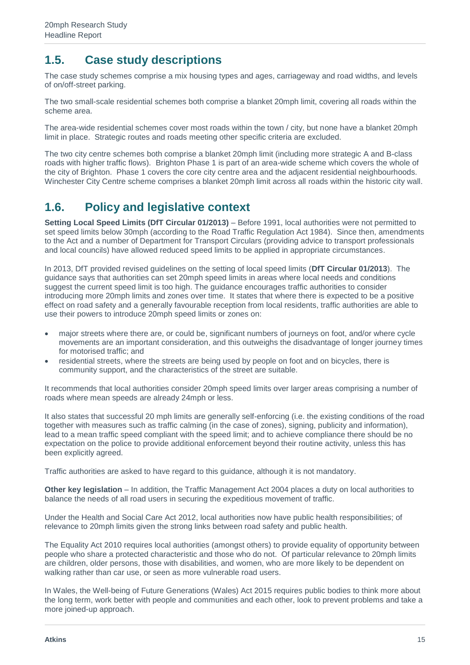## <span id="page-14-0"></span>**1.5. Case study descriptions**

The case study schemes comprise a mix housing types and ages, carriageway and road widths, and levels of on/off-street parking.

The two small-scale residential schemes both comprise a blanket 20mph limit, covering all roads within the scheme area.

The area-wide residential schemes cover most roads within the town / city, but none have a blanket 20mph limit in place. Strategic routes and roads meeting other specific criteria are excluded.

The two city centre schemes both comprise a blanket 20mph limit (including more strategic A and B-class roads with higher traffic flows). Brighton Phase 1 is part of an area-wide scheme which covers the whole of the city of Brighton. Phase 1 covers the core city centre area and the adjacent residential neighbourhoods. Winchester City Centre scheme comprises a blanket 20mph limit across all roads within the historic city wall.

### <span id="page-14-1"></span>**1.6. Policy and legislative context**

**Setting Local Speed Limits (DfT Circular 01/2013)** – Before 1991, local authorities were not permitted to set speed limits below 30mph (according to the Road Traffic Regulation Act 1984). Since then, amendments to the Act and a number of Department for Transport Circulars (providing advice to transport professionals and local councils) have allowed reduced speed limits to be applied in appropriate circumstances.

In 2013, DfT provided revised guidelines on the setting of local speed limits (**DfT Circular 01/2013**). The guidance says that authorities can set 20mph speed limits in areas where local needs and conditions suggest the current speed limit is too high. The guidance encourages traffic authorities to consider introducing more 20mph limits and zones over time. It states that where there is expected to be a positive effect on road safety and a generally favourable reception from local residents, traffic authorities are able to use their powers to introduce 20mph speed limits or zones on:

- major streets where there are, or could be, significant numbers of journeys on foot, and/or where cycle movements are an important consideration, and this outweighs the disadvantage of longer journey times for motorised traffic; and
- residential streets, where the streets are being used by people on foot and on bicycles, there is community support, and the characteristics of the street are suitable.

It recommends that local authorities consider 20mph speed limits over larger areas comprising a number of roads where mean speeds are already 24mph or less.

It also states that successful 20 mph limits are generally self-enforcing (i.e. the existing conditions of the road together with measures such as traffic calming (in the case of zones), signing, publicity and information), lead to a mean traffic speed compliant with the speed limit; and to achieve compliance there should be no expectation on the police to provide additional enforcement beyond their routine activity, unless this has been explicitly agreed.

Traffic authorities are asked to have regard to this guidance, although it is not mandatory.

**Other key legislation** – In addition, the Traffic Management Act 2004 places a duty on local authorities to balance the needs of all road users in securing the expeditious movement of traffic.

Under the Health and Social Care Act 2012, local authorities now have public health responsibilities; of relevance to 20mph limits given the strong links between road safety and public health.

The Equality Act 2010 requires local authorities (amongst others) to provide equality of opportunity between people who share a protected characteristic and those who do not. Of particular relevance to 20mph limits are children, older persons, those with disabilities, and women, who are more likely to be dependent on walking rather than car use, or seen as more vulnerable road users.

In Wales, the Well-being of Future Generations (Wales) Act 2015 requires public bodies to think more about the long term, work better with people and communities and each other, look to prevent problems and take a more joined-up approach.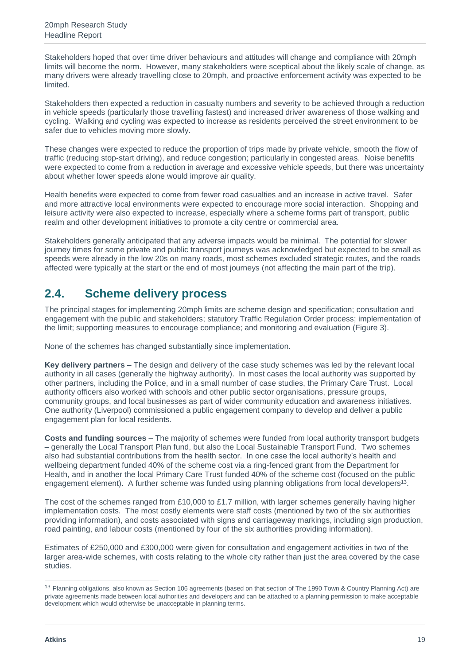Stakeholders hoped that over time driver behaviours and attitudes will change and compliance with 20mph limits will become the norm. However, many stakeholders were sceptical about the likely scale of change, as many drivers were already travelling close to 20mph, and proactive enforcement activity was expected to be limited.

Stakeholders then expected a reduction in casualty numbers and severity to be achieved through a reduction in vehicle speeds (particularly those travelling fastest) and increased driver awareness of those walking and cycling. Walking and cycling was expected to increase as residents perceived the street environment to be safer due to vehicles moving more slowly.

These changes were expected to reduce the proportion of trips made by private vehicle, smooth the flow of traffic (reducing stop-start driving), and reduce congestion; particularly in congested areas. Noise benefits were expected to come from a reduction in average and excessive vehicle speeds, but there was uncertainty about whether lower speeds alone would improve air quality.

Health benefits were expected to come from fewer road casualties and an increase in active travel. Safer and more attractive local environments were expected to encourage more social interaction. Shopping and leisure activity were also expected to increase, especially where a scheme forms part of transport, public realm and other development initiatives to promote a city centre or commercial area.

Stakeholders generally anticipated that any adverse impacts would be minimal. The potential for slower journey times for some private and public transport journeys was acknowledged but expected to be small as speeds were already in the low 20s on many roads, most schemes excluded strategic routes, and the roads affected were typically at the start or the end of most journeys (not affecting the main part of the trip).

## <span id="page-18-0"></span>**2.4. Scheme delivery process**

The principal stages for implementing 20mph limits are scheme design and specification; consultation and engagement with the public and stakeholders; statutory Traffic Regulation Order process; implementation of the limit; supporting measures to encourage compliance; and monitoring and evaluation (Figure 3).

None of the schemes has changed substantially since implementation.

**Key delivery partners** – The design and delivery of the case study schemes was led by the relevant local authority in all cases (generally the highway authority). In most cases the local authority was supported by other partners, including the Police, and in a small number of case studies, the Primary Care Trust. Local authority officers also worked with schools and other public sector organisations, pressure groups, community groups, and local businesses as part of wider community education and awareness initiatives. One authority (Liverpool) commissioned a public engagement company to develop and deliver a public engagement plan for local residents.

**Costs and funding sources** – The majority of schemes were funded from local authority transport budgets – generally the Local Transport Plan fund, but also the Local Sustainable Transport Fund. Two schemes also had substantial contributions from the health sector. In one case the local authority's health and wellbeing department funded 40% of the scheme cost via a ring-fenced grant from the Department for Health, and in another the local Primary Care Trust funded 40% of the scheme cost (focused on the public engagement element). A further scheme was funded using planning obligations from local developers<sup>13</sup>.

The cost of the schemes ranged from £10,000 to £1.7 million, with larger schemes generally having higher implementation costs. The most costly elements were staff costs (mentioned by two of the six authorities providing information), and costs associated with signs and carriageway markings, including sign production, road painting, and labour costs (mentioned by four of the six authorities providing information).

Estimates of £250,000 and £300,000 were given for consultation and engagement activities in two of the larger area-wide schemes, with costs relating to the whole city rather than just the area covered by the case studies.

<sup>13</sup> Planning obligations, also known as Section 106 agreements (based on that section of The 1990 Town & Country Planning Act) are private agreements made between local authorities and developers and can be attached to a planning permission to make acceptable development which would otherwise be unacceptable in planning terms.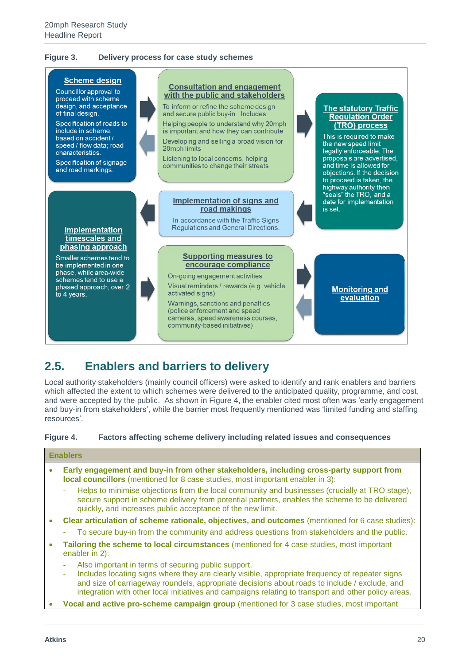#### **Figure 3. Delivery process for case study schemes**



#### <span id="page-19-0"></span>**2.5. Enablers and barriers to delivery**

Local authority stakeholders (mainly council officers) were asked to identify and rank enablers and barriers which affected the extent to which schemes were delivered to the anticipated quality, programme, and cost, and were accepted by the public. As shown in Figure 4, the enabler cited most often was 'early engagement and buy-in from stakeholders', while the barrier most frequently mentioned was 'limited funding and staffing resources'.

#### **Figure 4. Factors affecting scheme delivery including related issues and consequences**

#### **Enablers**

- **Early engagement and buy-in from other stakeholders, including cross-party support from local councillors** (mentioned for 8 case studies, most important enabler in 3):
	- Helps to minimise objections from the local community and businesses (crucially at TRO stage), secure support in scheme delivery from potential partners, enables the scheme to be delivered quickly, and increases public acceptance of the new limit.
- **Clear articulation of scheme rationale, objectives, and outcomes** (mentioned for 6 case studies):
	- To secure buy-in from the community and address questions from stakeholders and the public.
- **Tailoring the scheme to local circumstances** (mentioned for 4 case studies, most important enabler in 2):
	- Also important in terms of securing public support.
	- Includes locating signs where they are clearly visible, appropriate frequency of repeater signs and size of carriageway roundels, appropriate decisions about roads to include / exclude, and integration with other local initiatives and campaigns relating to transport and other policy areas.
- **Vocal and active pro-scheme campaign group** (mentioned for 3 case studies, most important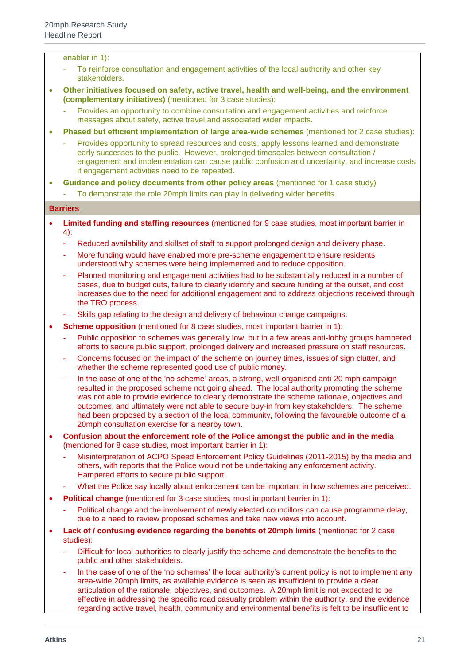enabler in 1):

- To reinforce consultation and engagement activities of the local authority and other key stakeholders.
- **Other initiatives focused on safety, active travel, health and well-being, and the environment (complementary initiatives)** (mentioned for 3 case studies):
	- Provides an opportunity to combine consultation and engagement activities and reinforce messages about safety, active travel and associated wider impacts.
- **Phased but efficient implementation of large area-wide schemes** (mentioned for 2 case studies):
	- Provides opportunity to spread resources and costs, apply lessons learned and demonstrate early successes to the public. However, prolonged timescales between consultation / engagement and implementation can cause public confusion and uncertainty, and increase costs if engagement activities need to be repeated.
- **Guidance and policy documents from other policy areas** (mentioned for 1 case study)
	- To demonstrate the role 20mph limits can play in delivering wider benefits.

#### **Barriers**

- **Limited funding and staffing resources** (mentioned for 9 case studies, most important barrier in 4):
	- Reduced availability and skillset of staff to support prolonged design and delivery phase.
	- More funding would have enabled more pre-scheme engagement to ensure residents understood why schemes were being implemented and to reduce opposition.
	- Planned monitoring and engagement activities had to be substantially reduced in a number of cases, due to budget cuts, failure to clearly identify and secure funding at the outset, and cost increases due to the need for additional engagement and to address objections received through the TRO process.
	- Skills gap relating to the design and delivery of behaviour change campaigns.
- **Scheme opposition** (mentioned for 8 case studies, most important barrier in 1):
	- Public opposition to schemes was generally low, but in a few areas anti-lobby groups hampered efforts to secure public support, prolonged delivery and increased pressure on staff resources.
	- Concerns focused on the impact of the scheme on journey times, issues of sign clutter, and whether the scheme represented good use of public money.
	- In the case of one of the 'no scheme' areas, a strong, well-organised anti-20 mph campaign resulted in the proposed scheme not going ahead. The local authority promoting the scheme was not able to provide evidence to clearly demonstrate the scheme rationale, objectives and outcomes, and ultimately were not able to secure buy-in from key stakeholders. The scheme had been proposed by a section of the local community, following the favourable outcome of a 20mph consultation exercise for a nearby town.
- **Confusion about the enforcement role of the Police amongst the public and in the media** (mentioned for 8 case studies, most important barrier in 1):
	- Misinterpretation of ACPO Speed Enforcement Policy Guidelines (2011-2015) by the media and others, with reports that the Police would not be undertaking any enforcement activity. Hampered efforts to secure public support.
	- What the Police say locally about enforcement can be important in how schemes are perceived.
- **Political change** (mentioned for 3 case studies, most important barrier in 1):
	- Political change and the involvement of newly elected councillors can cause programme delay, due to a need to review proposed schemes and take new views into account.
- **Lack of / confusing evidence regarding the benefits of 20mph limits** (mentioned for 2 case studies):
	- Difficult for local authorities to clearly justify the scheme and demonstrate the benefits to the public and other stakeholders.
	- In the case of one of the 'no schemes' the local authority's current policy is not to implement any area-wide 20mph limits, as available evidence is seen as insufficient to provide a clear articulation of the rationale, objectives, and outcomes. A 20mph limit is not expected to be effective in addressing the specific road casualty problem within the authority, and the evidence regarding active travel, health, community and environmental benefits is felt to be insufficient to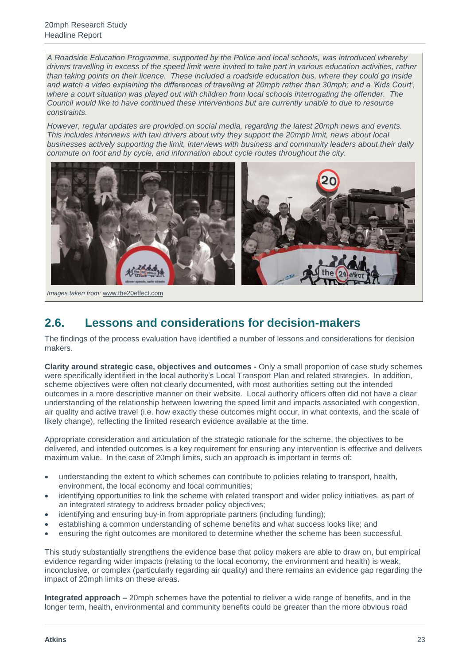*A Roadside Education Programme, supported by the Police and local schools, was introduced whereby drivers travelling in excess of the speed limit were invited to take part in various education activities, rather than taking points on their licence. These included a roadside education bus, where they could go inside*  and watch a video explaining the differences of travelling at 20mph rather than 30mph; and a 'Kids Court', where a court situation was played out with children from local schools interrogating the offender. The *Council would like to have continued these interventions but are currently unable to due to resource constraints.*

*However, regular updates are provided on social media, regarding the latest 20mph news and events. This includes interviews with taxi drivers about why they support the 20mph limit, news about local businesses actively supporting the limit, interviews with business and community leaders about their daily commute on foot and by cycle, and information about cycle routes throughout the city.*



*Images taken from:* [www.the20effect.com](http://www.the20effect.com/)

## <span id="page-22-0"></span>**2.6. Lessons and considerations for decision-makers**

The findings of the process evaluation have identified a number of lessons and considerations for decision makers.

**Clarity around strategic case, objectives and outcomes -** Only a small proportion of case study schemes were specifically identified in the local authority's Local Transport Plan and related strategies. In addition, scheme objectives were often not clearly documented, with most authorities setting out the intended outcomes in a more descriptive manner on their website. Local authority officers often did not have a clear understanding of the relationship between lowering the speed limit and impacts associated with congestion, air quality and active travel (i.e. how exactly these outcomes might occur, in what contexts, and the scale of likely change), reflecting the limited research evidence available at the time.

Appropriate consideration and articulation of the strategic rationale for the scheme, the objectives to be delivered, and intended outcomes is a key requirement for ensuring any intervention is effective and delivers maximum value. In the case of 20mph limits, such an approach is important in terms of:

- understanding the extent to which schemes can contribute to policies relating to transport, health, environment, the local economy and local communities;
- identifying opportunities to link the scheme with related transport and wider policy initiatives, as part of an integrated strategy to address broader policy objectives;
- identifying and ensuring buy-in from appropriate partners (including funding);
- establishing a common understanding of scheme benefits and what success looks like; and
- ensuring the right outcomes are monitored to determine whether the scheme has been successful.

This study substantially strengthens the evidence base that policy makers are able to draw on, but empirical evidence regarding wider impacts (relating to the local economy, the environment and health) is weak, inconclusive, or complex (particularly regarding air quality) and there remains an evidence gap regarding the impact of 20mph limits on these areas.

**Integrated approach –** 20mph schemes have the potential to deliver a wide range of benefits, and in the longer term, health, environmental and community benefits could be greater than the more obvious road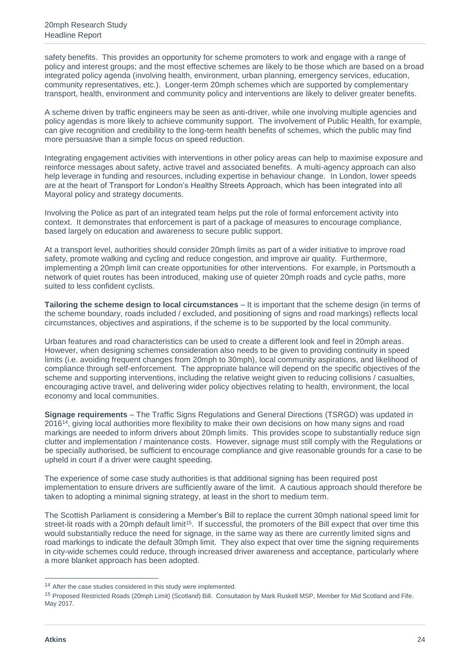safety benefits. This provides an opportunity for scheme promoters to work and engage with a range of policy and interest groups; and the most effective schemes are likely to be those which are based on a broad integrated policy agenda (involving health, environment, urban planning, emergency services, education, community representatives, etc.). Longer-term 20mph schemes which are supported by complementary transport, health, environment and community policy and interventions are likely to deliver greater benefits.

A scheme driven by traffic engineers may be seen as anti-driver, while one involving multiple agencies and policy agendas is more likely to achieve community support. The involvement of Public Health, for example, can give recognition and credibility to the long-term health benefits of schemes, which the public may find more persuasive than a simple focus on speed reduction.

Integrating engagement activities with interventions in other policy areas can help to maximise exposure and reinforce messages about safety, active travel and associated benefits. A multi-agency approach can also help leverage in funding and resources, including expertise in behaviour change. In London, lower speeds are at the heart of Transport for London's Healthy Streets Approach, which has been integrated into all Mayoral policy and strategy documents.

Involving the Police as part of an integrated team helps put the role of formal enforcement activity into context. It demonstrates that enforcement is part of a package of measures to encourage compliance, based largely on education and awareness to secure public support.

At a transport level, authorities should consider 20mph limits as part of a wider initiative to improve road safety, promote walking and cycling and reduce congestion, and improve air quality. Furthermore, implementing a 20mph limit can create opportunities for other interventions. For example, in Portsmouth a network of quiet routes has been introduced, making use of quieter 20mph roads and cycle paths, more suited to less confident cyclists.

**Tailoring the scheme design to local circumstances** – It is important that the scheme design (in terms of the scheme boundary, roads included / excluded, and positioning of signs and road markings) reflects local circumstances, objectives and aspirations, if the scheme is to be supported by the local community.

Urban features and road characteristics can be used to create a different look and feel in 20mph areas. However, when designing schemes consideration also needs to be given to providing continuity in speed limits (i.e. avoiding frequent changes from 20mph to 30mph), local community aspirations, and likelihood of compliance through self-enforcement. The appropriate balance will depend on the specific objectives of the scheme and supporting interventions, including the relative weight given to reducing collisions / casualties, encouraging active travel, and delivering wider policy objectives relating to health, environment, the local economy and local communities.

**Signage requirements** – The Traffic Signs Regulations and General Directions (TSRGD) was updated in 2016<sup>14</sup> , giving local authorities more flexibility to make their own decisions on how many signs and road markings are needed to inform drivers about 20mph limits. This provides scope to substantially reduce sign clutter and implementation / maintenance costs. However, signage must still comply with the Regulations or be specially authorised, be sufficient to encourage compliance and give reasonable grounds for a case to be upheld in court if a driver were caught speeding.

The experience of some case study authorities is that additional signing has been required post implementation to ensure drivers are sufficiently aware of the limit. A cautious approach should therefore be taken to adopting a minimal signing strategy, at least in the short to medium term.

The Scottish Parliament is considering a Member's Bill to replace the current 30mph national speed limit for street-lit roads with a 20mph default limit<sup>15</sup>. If successful, the promoters of the Bill expect that over time this would substantially reduce the need for signage, in the same way as there are currently limited signs and road markings to indicate the default 30mph limit. They also expect that over time the signing requirements in city-wide schemes could reduce, through increased driver awareness and acceptance, particularly where a more blanket approach has been adopted.

<sup>&</sup>lt;sup>14</sup> After the case studies considered in this study were implemented.

<sup>15</sup> Proposed Restricted Roads (20mph Limit) (Scotland) Bill. Consultation by Mark Ruskell MSP, Member for Mid Scotland and Fife. May 2017.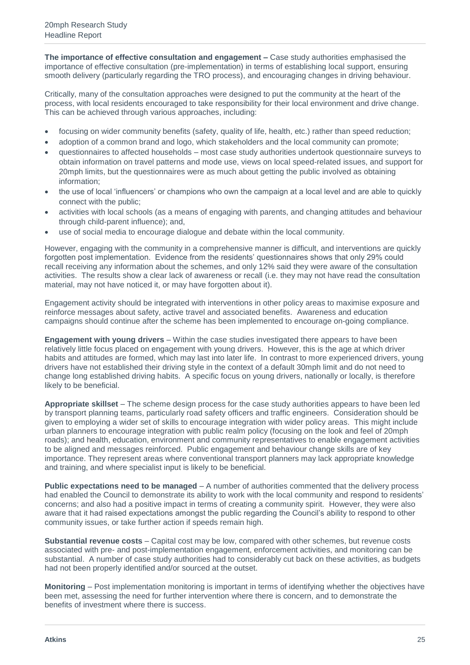**The importance of effective consultation and engagement –** Case study authorities emphasised the importance of effective consultation (pre-implementation) in terms of establishing local support, ensuring smooth delivery (particularly regarding the TRO process), and encouraging changes in driving behaviour.

Critically, many of the consultation approaches were designed to put the community at the heart of the process, with local residents encouraged to take responsibility for their local environment and drive change. This can be achieved through various approaches, including:

- focusing on wider community benefits (safety, quality of life, health, etc.) rather than speed reduction;
- adoption of a common brand and logo, which stakeholders and the local community can promote;
- questionnaires to affected households most case study authorities undertook questionnaire surveys to obtain information on travel patterns and mode use, views on local speed-related issues, and support for 20mph limits, but the questionnaires were as much about getting the public involved as obtaining information;
- the use of local 'influencers' or champions who own the campaign at a local level and are able to quickly connect with the public;
- activities with local schools (as a means of engaging with parents, and changing attitudes and behaviour through child-parent influence); and,
- use of social media to encourage dialogue and debate within the local community.

However, engaging with the community in a comprehensive manner is difficult, and interventions are quickly forgotten post implementation. Evidence from the residents' questionnaires shows that only 29% could recall receiving any information about the schemes, and only 12% said they were aware of the consultation activities. The results show a clear lack of awareness or recall (i.e. they may not have read the consultation material, may not have noticed it, or may have forgotten about it).

Engagement activity should be integrated with interventions in other policy areas to maximise exposure and reinforce messages about safety, active travel and associated benefits. Awareness and education campaigns should continue after the scheme has been implemented to encourage on-going compliance.

**Engagement with young drivers** – Within the case studies investigated there appears to have been relatively little focus placed on engagement with young drivers. However, this is the age at which driver habits and attitudes are formed, which may last into later life. In contrast to more experienced drivers, young drivers have not established their driving style in the context of a default 30mph limit and do not need to change long established driving habits. A specific focus on young drivers, nationally or locally, is therefore likely to be beneficial.

**Appropriate skillset** – The scheme design process for the case study authorities appears to have been led by transport planning teams, particularly road safety officers and traffic engineers. Consideration should be given to employing a wider set of skills to encourage integration with wider policy areas. This might include urban planners to encourage integration with public realm policy (focusing on the look and feel of 20mph roads); and health, education, environment and community representatives to enable engagement activities to be aligned and messages reinforced. Public engagement and behaviour change skills are of key importance. They represent areas where conventional transport planners may lack appropriate knowledge and training, and where specialist input is likely to be beneficial.

**Public expectations need to be managed** – A number of authorities commented that the delivery process had enabled the Council to demonstrate its ability to work with the local community and respond to residents' concerns; and also had a positive impact in terms of creating a community spirit. However, they were also aware that it had raised expectations amongst the public regarding the Council's ability to respond to other community issues, or take further action if speeds remain high.

**Substantial revenue costs** – Capital cost may be low, compared with other schemes, but revenue costs associated with pre- and post-implementation engagement, enforcement activities, and monitoring can be substantial. A number of case study authorities had to considerably cut back on these activities, as budgets had not been properly identified and/or sourced at the outset.

**Monitoring** – Post implementation monitoring is important in terms of identifying whether the objectives have been met, assessing the need for further intervention where there is concern, and to demonstrate the benefits of investment where there is success.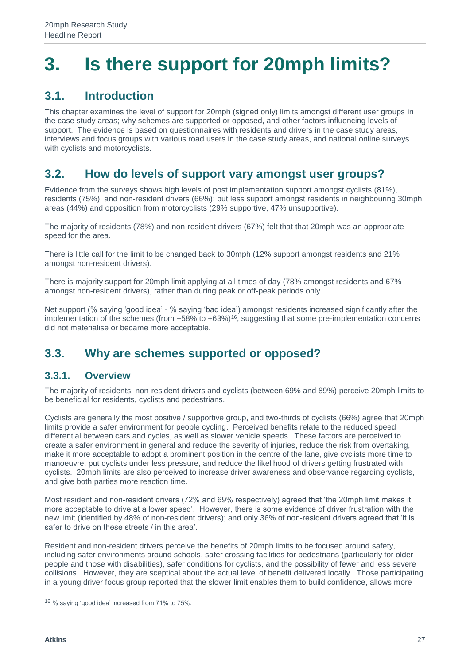## <span id="page-26-0"></span>**3. Is there support for 20mph limits?**

## <span id="page-26-1"></span>**3.1. Introduction**

This chapter examines the level of support for 20mph (signed only) limits amongst different user groups in the case study areas; why schemes are supported or opposed, and other factors influencing levels of support. The evidence is based on questionnaires with residents and drivers in the case study areas, interviews and focus groups with various road users in the case study areas, and national online surveys with cyclists and motorcyclists.

## <span id="page-26-2"></span>**3.2. How do levels of support vary amongst user groups?**

Evidence from the surveys shows high levels of post implementation support amongst cyclists (81%), residents (75%), and non-resident drivers (66%); but less support amongst residents in neighbouring 30mph areas (44%) and opposition from motorcyclists (29% supportive, 47% unsupportive).

The majority of residents (78%) and non-resident drivers (67%) felt that that 20mph was an appropriate speed for the area.

There is little call for the limit to be changed back to 30mph (12% support amongst residents and 21% amongst non-resident drivers).

There is majority support for 20mph limit applying at all times of day (78% amongst residents and 67% amongst non-resident drivers), rather than during peak or off-peak periods only.

Net support (% saying 'good idea' - % saying 'bad idea') amongst residents increased significantly after the implementation of the schemes (from  $+58\%$  to  $+63\%$ )<sup>16</sup>, suggesting that some pre-implementation concerns did not materialise or became more acceptable.

## <span id="page-26-3"></span>**3.3. Why are schemes supported or opposed?**

#### **3.3.1. Overview**

The majority of residents, non-resident drivers and cyclists (between 69% and 89%) perceive 20mph limits to be beneficial for residents, cyclists and pedestrians.

Cyclists are generally the most positive / supportive group, and two-thirds of cyclists (66%) agree that 20mph limits provide a safer environment for people cycling. Perceived benefits relate to the reduced speed differential between cars and cycles, as well as slower vehicle speeds. These factors are perceived to create a safer environment in general and reduce the severity of injuries, reduce the risk from overtaking, make it more acceptable to adopt a prominent position in the centre of the lane, give cyclists more time to manoeuvre, put cyclists under less pressure, and reduce the likelihood of drivers getting frustrated with cyclists. 20mph limits are also perceived to increase driver awareness and observance regarding cyclists, and give both parties more reaction time.

Most resident and non-resident drivers (72% and 69% respectively) agreed that 'the 20mph limit makes it more acceptable to drive at a lower speed'. However, there is some evidence of driver frustration with the new limit (identified by 48% of non-resident drivers); and only 36% of non-resident drivers agreed that 'it is safer to drive on these streets / in this area'.

Resident and non-resident drivers perceive the benefits of 20mph limits to be focused around safety, including safer environments around schools, safer crossing facilities for pedestrians (particularly for older people and those with disabilities), safer conditions for cyclists, and the possibility of fewer and less severe collisions. However, they are sceptical about the actual level of benefit delivered locally. Those participating in a young driver focus group reported that the slower limit enables them to build confidence, allows more

<sup>16</sup> % saying 'good idea' increased from 71% to 75%.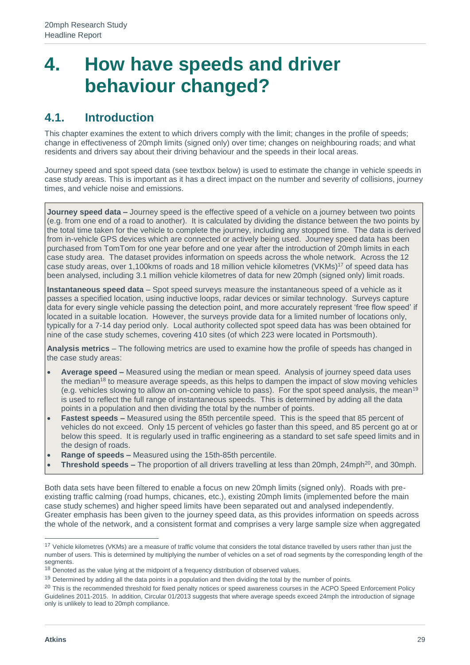## <span id="page-28-0"></span>**4. How have speeds and driver behaviour changed?**

### <span id="page-28-1"></span>**4.1. Introduction**

This chapter examines the extent to which drivers comply with the limit; changes in the profile of speeds; change in effectiveness of 20mph limits (signed only) over time; changes on neighbouring roads; and what residents and drivers say about their driving behaviour and the speeds in their local areas.

Journey speed and spot speed data (see textbox below) is used to estimate the change in vehicle speeds in case study areas. This is important as it has a direct impact on the number and severity of collisions, journey times, and vehicle noise and emissions.

**Journey speed data –** Journey speed is the effective speed of a vehicle on a journey between two points (e.g. from one end of a road to another). It is calculated by dividing the distance between the two points by the total time taken for the vehicle to complete the journey, including any stopped time. The data is derived from in-vehicle GPS devices which are connected or actively being used. Journey speed data has been purchased from TomTom for one year before and one year after the introduction of 20mph limits in each case study area. The dataset provides information on speeds across the whole network. Across the 12 case study areas, over 1,100kms of roads and 18 million vehicle kilometres (VKMs)<sup>17</sup> of speed data has been analysed, including 3.1 million vehicle kilometres of data for new 20mph (signed only) limit roads.

**Instantaneous speed data** – Spot speed surveys measure the instantaneous speed of a vehicle as it passes a specified location, using inductive loops, radar devices or similar technology. Surveys capture data for every single vehicle passing the detection point, and more accurately represent 'free flow speed' if located in a suitable location. However, the surveys provide data for a limited number of locations only, typically for a 7-14 day period only. Local authority collected spot speed data has was been obtained for nine of the case study schemes, covering 410 sites (of which 223 were located in Portsmouth).

**Analysis metrics** – The following metrics are used to examine how the profile of speeds has changed in the case study areas:

- **Average speed –** Measured using the median or mean speed. Analysis of journey speed data uses the median<sup>18</sup> to measure average speeds, as this helps to dampen the impact of slow moving vehicles (e.g. vehicles slowing to allow an on-coming vehicle to pass). For the spot speed analysis, the mean<sup>19</sup> is used to reflect the full range of instantaneous speeds. This is determined by adding all the data points in a population and then dividing the total by the number of points.
- **Fastest speeds –** Measured using the 85th percentile speed. This is the speed that 85 percent of vehicles do not exceed. Only 15 percent of vehicles go faster than this speed, and 85 percent go at or below this speed. It is regularly used in traffic engineering as a standard to set safe speed limits and in the design of roads.
- **Range of speeds –** Measured using the 15th-85th percentile.
- **Threshold speeds –** The proportion of all drivers travelling at less than 20mph, 24mph<sup>20</sup>, and 30mph.

Both data sets have been filtered to enable a focus on new 20mph limits (signed only). Roads with preexisting traffic calming (road humps, chicanes, etc.), existing 20mph limits (implemented before the main case study schemes) and higher speed limits have been separated out and analysed independently. Greater emphasis has been given to the journey speed data, as this provides information on speeds across the whole of the network, and a consistent format and comprises a very large sample size when aggregated

<sup>&</sup>lt;sup>17</sup> Vehicle kilometres (VKMs) are a measure of traffic volume that considers the total distance travelled by users rather than just the number of users. This is determined by multiplying the number of vehicles on a set of road segments by the corresponding length of the segments.

<sup>&</sup>lt;sup>18</sup> Denoted as the value lying at the midpoint of a frequency distribution of observed values.

 $19$  Determined by adding all the data points in a population and then dividing the total by the number of points.

<sup>&</sup>lt;sup>20</sup> This is the recommended threshold for fixed penalty notices or speed awareness courses in the ACPO Speed Enforcement Policy Guidelines 2011-2015. In addition, Circular 01/2013 suggests that where average speeds exceed 24mph the introduction of signage only is unlikely to lead to 20mph compliance.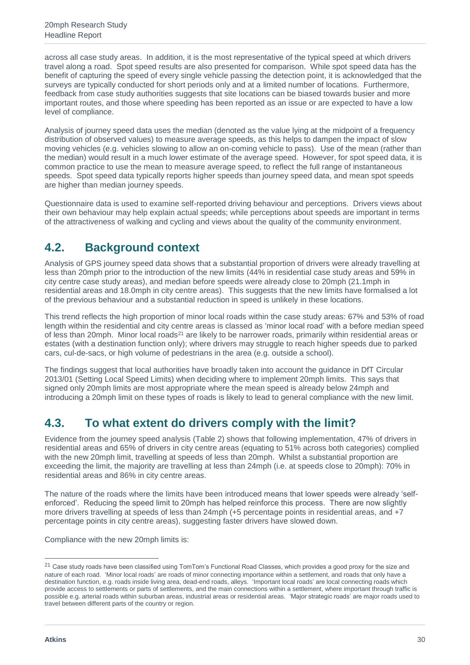across all case study areas. In addition, it is the most representative of the typical speed at which drivers travel along a road. Spot speed results are also presented for comparison. While spot speed data has the benefit of capturing the speed of every single vehicle passing the detection point, it is acknowledged that the surveys are typically conducted for short periods only and at a limited number of locations. Furthermore, feedback from case study authorities suggests that site locations can be biased towards busier and more important routes, and those where speeding has been reported as an issue or are expected to have a low level of compliance.

Analysis of journey speed data uses the median (denoted as the value lying at the midpoint of a frequency distribution of observed values) to measure average speeds, as this helps to dampen the impact of slow moving vehicles (e.g. vehicles slowing to allow an on-coming vehicle to pass). Use of the mean (rather than the median) would result in a much lower estimate of the average speed. However, for spot speed data, it is common practice to use the mean to measure average speed, to reflect the full range of instantaneous speeds. Spot speed data typically reports higher speeds than journey speed data, and mean spot speeds are higher than median journey speeds.

Questionnaire data is used to examine self-reported driving behaviour and perceptions. Drivers views about their own behaviour may help explain actual speeds; while perceptions about speeds are important in terms of the attractiveness of walking and cycling and views about the quality of the community environment.

## <span id="page-29-0"></span>**4.2. Background context**

Analysis of GPS journey speed data shows that a substantial proportion of drivers were already travelling at less than 20mph prior to the introduction of the new limits (44% in residential case study areas and 59% in city centre case study areas), and median before speeds were already close to 20mph (21.1mph in residential areas and 18.0mph in city centre areas). This suggests that the new limits have formalised a lot of the previous behaviour and a substantial reduction in speed is unlikely in these locations.

This trend reflects the high proportion of minor local roads within the case study areas: 67% and 53% of road length within the residential and city centre areas is classed as 'minor local road' with a before median speed of less than 20mph. Minor local roads<sup>21</sup> are likely to be narrower roads, primarily within residential areas or estates (with a destination function only); where drivers may struggle to reach higher speeds due to parked cars, cul-de-sacs, or high volume of pedestrians in the area (e.g. outside a school).

The findings suggest that local authorities have broadly taken into account the guidance in DfT Circular 2013/01 (Setting Local Speed Limits) when deciding where to implement 20mph limits. This says that signed only 20mph limits are most appropriate where the mean speed is already below 24mph and introducing a 20mph limit on these types of roads is likely to lead to general compliance with the new limit.

## <span id="page-29-1"></span>**4.3. To what extent do drivers comply with the limit?**

Evidence from the journey speed analysis (Table 2) shows that following implementation, 47% of drivers in residential areas and 65% of drivers in city centre areas (equating to 51% across both categories) complied with the new 20mph limit, travelling at speeds of less than 20mph. Whilst a substantial proportion are exceeding the limit, the majority are travelling at less than 24mph (i.e. at speeds close to 20mph): 70% in residential areas and 86% in city centre areas.

The nature of the roads where the limits have been introduced means that lower speeds were already 'selfenforced'. Reducing the speed limit to 20mph has helped reinforce this process. There are now slightly more drivers travelling at speeds of less than 24mph (+5 percentage points in residential areas, and +7 percentage points in city centre areas), suggesting faster drivers have slowed down.

Compliance with the new 20mph limits is:

 $\overline{a}$ 

<sup>&</sup>lt;sup>21</sup> Case study roads have been classified using TomTom's Functional Road Classes, which provides a good proxy for the size and nature of each road. 'Minor local roads' are roads of minor connecting importance within a settlement, and roads that only have a destination function, e.g. roads inside living area, dead-end roads, alleys. 'Important local roads' are local connecting roads which provide access to settlements or parts of settlements, and the main connections within a settlement, where important through traffic is possible e.g. arterial roads within suburban areas, industrial areas or residential areas. 'Major strategic roads' are major roads used to travel between different parts of the country or region.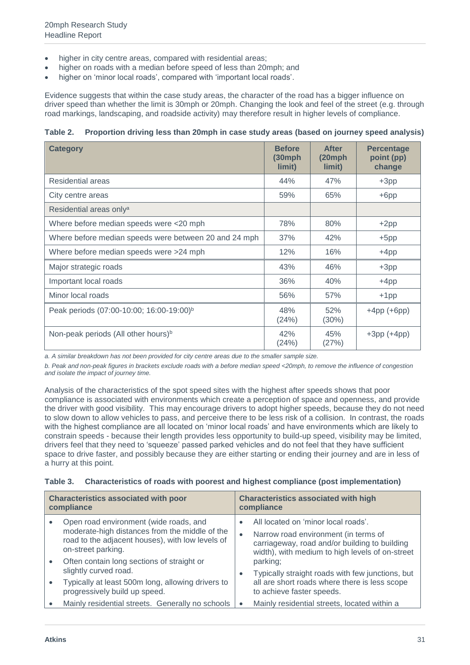- higher in city centre areas, compared with residential areas;
- higher on roads with a median before speed of less than 20mph; and
- higher on 'minor local roads', compared with 'important local roads'.

Evidence suggests that within the case study areas, the character of the road has a bigger influence on driver speed than whether the limit is 30mph or 20mph. Changing the look and feel of the street (e.g. through road markings, landscaping, and roadside activity) may therefore result in higher levels of compliance.

#### **Table 2. Proportion driving less than 20mph in case study areas (based on journey speed analysis)**

| <b>Category</b>                                       | <b>Before</b><br>$(30$ mph<br>limit) | <b>After</b><br>$(20$ mph<br>limit) | <b>Percentage</b><br>point (pp)<br>change |
|-------------------------------------------------------|--------------------------------------|-------------------------------------|-------------------------------------------|
| <b>Residential areas</b>                              | 44%                                  | 47%                                 | $+3pp$                                    |
| City centre areas                                     | 59%                                  | 65%                                 | $+6$ pp                                   |
| Residential areas only <sup>a</sup>                   |                                      |                                     |                                           |
| Where before median speeds were <20 mph               | 78%                                  | 80%                                 | $+2pp$                                    |
| Where before median speeds were between 20 and 24 mph | 37%                                  | 42%                                 | $+5pp$                                    |
| Where before median speeds were >24 mph               | 12%                                  | 16%                                 | $+4pp$                                    |
| Major strategic roads                                 | 43%                                  | 46%                                 | $+3pp$                                    |
| Important local roads                                 | 36%                                  | 40%                                 | $+4pp$                                    |
| Minor local roads                                     | 56%                                  | 57%                                 | $+1$ pp                                   |
| Peak periods (07:00-10:00; 16:00-19:00) <sup>b</sup>  | 48%<br>(24%)                         | 52%<br>(30%)                        | $+4$ pp $(+6$ pp $)$                      |
| Non-peak periods (All other hours) <sup>b</sup>       | 42%<br>(24%)                         | 45%<br>(27%)                        | $+3pp (+4pp)$                             |

*a. A similar breakdown has not been provided for city centre areas due to the smaller sample size.* 

*b. Peak and non-peak figures in brackets exclude roads with a before median speed <20mph, to remove the influence of congestion and isolate the impact of journey time.*

Analysis of the characteristics of the spot speed sites with the highest after speeds shows that poor compliance is associated with environments which create a perception of space and openness, and provide the driver with good visibility. This may encourage drivers to adopt higher speeds, because they do not need to slow down to allow vehicles to pass, and perceive there to be less risk of a collision. In contrast, the roads with the highest compliance are all located on 'minor local roads' and have environments which are likely to constrain speeds - because their length provides less opportunity to build-up speed, visibility may be limited, drivers feel that they need to 'squeeze' passed parked vehicles and do not feel that they have sufficient space to drive faster, and possibly because they are either starting or ending their journey and are in less of a hurry at this point.

|  | Table 3. Characteristics of roads with poorest and highest compliance (post implementation) |  |  |  |  |  |  |  |
|--|---------------------------------------------------------------------------------------------|--|--|--|--|--|--|--|
|--|---------------------------------------------------------------------------------------------|--|--|--|--|--|--|--|

| <b>Characteristics associated with poor</b><br>compliance |                                                                                                                                                                    |           | <b>Characteristics associated with high</b><br>compliance                                                                                                                       |
|-----------------------------------------------------------|--------------------------------------------------------------------------------------------------------------------------------------------------------------------|-----------|---------------------------------------------------------------------------------------------------------------------------------------------------------------------------------|
|                                                           | Open road environment (wide roads, and<br>moderate-high distances from the middle of the<br>road to the adjacent houses), with low levels of<br>on-street parking. | $\bullet$ | All located on 'minor local roads'.<br>Narrow road environment (in terms of<br>carriageway, road and/or building to building<br>width), with medium to high levels of on-street |
|                                                           | Often contain long sections of straight or<br>slightly curved road.                                                                                                |           | parking;<br>Typically straight roads with few junctions, but                                                                                                                    |
|                                                           | Typically at least 500m long, allowing drivers to<br>progressively build up speed.                                                                                 |           | all are short roads where there is less scope<br>to achieve faster speeds.                                                                                                      |
|                                                           | Mainly residential streets. Generally no schools                                                                                                                   | $\bullet$ | Mainly residential streets, located within a                                                                                                                                    |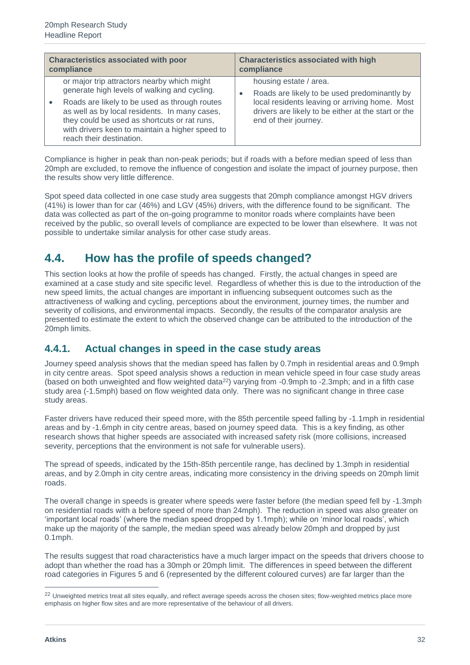| <b>Characteristics associated with poor</b><br>compliance |                                                                                                                                                                                                                               | <b>Characteristics associated with high</b><br>compliance |                                                                                                                                                                                |
|-----------------------------------------------------------|-------------------------------------------------------------------------------------------------------------------------------------------------------------------------------------------------------------------------------|-----------------------------------------------------------|--------------------------------------------------------------------------------------------------------------------------------------------------------------------------------|
|                                                           | or major trip attractors nearby which might<br>generate high levels of walking and cycling.                                                                                                                                   |                                                           | housing estate / area.                                                                                                                                                         |
|                                                           | Roads are likely to be used as through routes<br>as well as by local residents. In many cases,<br>they could be used as shortcuts or rat runs,<br>with drivers keen to maintain a higher speed to<br>reach their destination. |                                                           | Roads are likely to be used predominantly by<br>local residents leaving or arriving home. Most<br>drivers are likely to be either at the start or the<br>end of their journey. |

Compliance is higher in peak than non-peak periods; but if roads with a before median speed of less than 20mph are excluded, to remove the influence of congestion and isolate the impact of journey purpose, then the results show very little difference.

Spot speed data collected in one case study area suggests that 20mph compliance amongst HGV drivers (41%) is lower than for car (46%) and LGV (45%) drivers, with the difference found to be significant. The data was collected as part of the on-going programme to monitor roads where complaints have been received by the public, so overall levels of compliance are expected to be lower than elsewhere. It was not possible to undertake similar analysis for other case study areas.

### <span id="page-31-0"></span>**4.4. How has the profile of speeds changed?**

This section looks at how the profile of speeds has changed. Firstly, the actual changes in speed are examined at a case study and site specific level. Regardless of whether this is due to the introduction of the new speed limits, the actual changes are important in influencing subsequent outcomes such as the attractiveness of walking and cycling, perceptions about the environment, journey times, the number and severity of collisions, and environmental impacts. Secondly, the results of the comparator analysis are presented to estimate the extent to which the observed change can be attributed to the introduction of the 20mph limits.

#### **4.4.1. Actual changes in speed in the case study areas**

Journey speed analysis shows that the median speed has fallen by 0.7mph in residential areas and 0.9mph in city centre areas. Spot speed analysis shows a reduction in mean vehicle speed in four case study areas (based on both unweighted and flow weighted data<sup>22</sup>) varying from -0.9mph to -2.3mph; and in a fifth case study area (-1.5mph) based on flow weighted data only. There was no significant change in three case study areas.

Faster drivers have reduced their speed more, with the 85th percentile speed falling by -1.1mph in residential areas and by -1.6mph in city centre areas, based on journey speed data. This is a key finding, as other research shows that higher speeds are associated with increased safety risk (more collisions, increased severity, perceptions that the environment is not safe for vulnerable users).

The spread of speeds, indicated by the 15th-85th percentile range, has declined by 1.3mph in residential areas, and by 2.0mph in city centre areas, indicating more consistency in the driving speeds on 20mph limit roads.

The overall change in speeds is greater where speeds were faster before (the median speed fell by -1.3mph on residential roads with a before speed of more than 24mph). The reduction in speed was also greater on 'important local roads' (where the median speed dropped by 1.1mph); while on 'minor local roads', which make up the majority of the sample, the median speed was already below 20mph and dropped by just 0.1mph.

The results suggest that road characteristics have a much larger impact on the speeds that drivers choose to adopt than whether the road has a 30mph or 20mph limit. The differences in speed between the different road categories in Figures 5 and 6 (represented by the different coloured curves) are far larger than the

 $\overline{a}$ 

<sup>&</sup>lt;sup>22</sup> Unweighted metrics treat all sites equally, and reflect average speeds across the chosen sites; flow-weighted metrics place more emphasis on higher flow sites and are more representative of the behaviour of all drivers.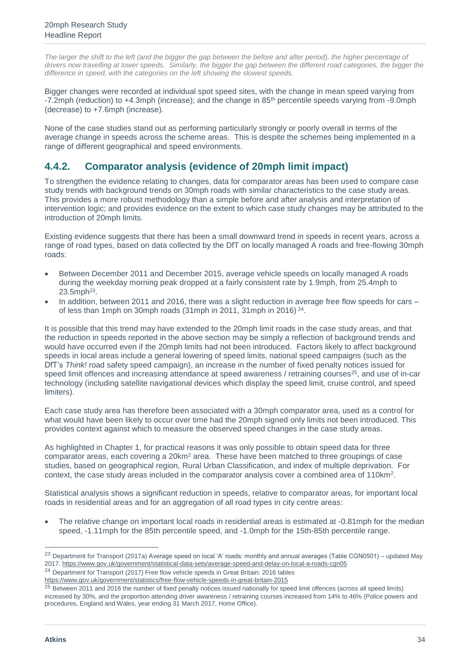The larger the shift to the left (and the bigger the gap between the before and after period), the higher percentage of *drivers now travelling at lower speeds. Similarly, the bigger the gap between the different road categories, the bigger the difference in speed, with the categories on the left showing the slowest speeds.*

Bigger changes were recorded at individual spot speed sites, with the change in mean speed varying from -7.2mph (reduction) to +4.3mph (increase); and the change in 85th percentile speeds varying from -9.0mph (decrease) to +7.6mph (increase).

None of the case studies stand out as performing particularly strongly or poorly overall in terms of the average change in speeds across the scheme areas. This is despite the schemes being implemented in a range of different geographical and speed environments.

#### **4.4.2. Comparator analysis (evidence of 20mph limit impact)**

To strengthen the evidence relating to changes, data for comparator areas has been used to compare case study trends with background trends on 30mph roads with similar characteristics to the case study areas. This provides a more robust methodology than a simple before and after analysis and interpretation of intervention logic; and provides evidence on the extent to which case study changes may be attributed to the introduction of 20mph limits.

Existing evidence suggests that there has been a small downward trend in speeds in recent years, across a range of road types, based on data collected by the DfT on locally managed A roads and free-flowing 30mph roads:

- Between December 2011 and December 2015, average vehicle speeds on locally managed A roads during the weekday morning peak dropped at a fairly consistent rate by 1.9mph, from 25.4mph to  $23.5$ mph<sup>23</sup>.
- In addition, between 2011 and 2016, there was a slight reduction in average free flow speeds for cars of less than 1 mph on 30 mph roads  $(31$  mph in 2011, 31 mph in 2016)<sup>24</sup>.

It is possible that this trend may have extended to the 20mph limit roads in the case study areas, and that the reduction in speeds reported in the above section may be simply a reflection of background trends and would have occurred even if the 20mph limits had not been introduced. Factors likely to affect background speeds in local areas include a general lowering of speed limits, national speed campaigns (such as the DfT's *Think!* road safety speed campaign), an increase in the number of fixed penalty notices issued for speed limit offences and increasing attendance at speed awareness / retraining courses<sup>25</sup>, and use of in-car technology (including satellite navigational devices which display the speed limit, cruise control, and speed limiters).

Each case study area has therefore been associated with a 30mph comparator area, used as a control for what would have been likely to occur over time had the 20mph signed only limits not been introduced. This provides context against which to measure the observed speed changes in the case study areas.

As highlighted in Chapter 1, for practical reasons it was only possible to obtain speed data for three comparator areas, each covering a  $20 \text{km}^2$  area. These have been matched to three groupings of case studies, based on geographical region, Rural Urban Classification, and index of multiple deprivation. For context, the case study areas included in the comparator analysis cover a combined area of 110km<sup>2</sup>.

Statistical analysis shows a significant reduction in speeds, relative to comparator areas, for important local roads in residential areas and for an aggregation of all road types in city centre areas:

The relative change on important local roads in residential areas is estimated at -0.81mph for the median speed, -1.11mph for the 85th percentile speed, and -1.0mph for the 15th-85th percentile range.

 $\overline{a}$ 

<sup>&</sup>lt;sup>23</sup> Department for Transport (2017a) Average speed on local 'A' roads: monthly and annual averages (Table CGN0501) – updated May 2017.<https://www.gov.uk/government/statistical-data-sets/average-speed-and-delay-on-local-a-roads-cgn05>

<sup>&</sup>lt;sup>24</sup> Department for Transport (2017) Free flow vehicle speeds in Great Britain: 2016 tables

<https://www.gov.uk/government/statistics/free-flow-vehicle-speeds-in-great-britain-2015>

<sup>&</sup>lt;sup>25</sup> Between 2011 and 2016 the number of fixed penalty notices issued nationally for speed limit offences (across all speed limits) increased by 30%, and the proportion attending driver awareness / retraining courses increased from 14% to 46% (Police powers and procedures, England and Wales, year ending 31 March 2017, Home Office).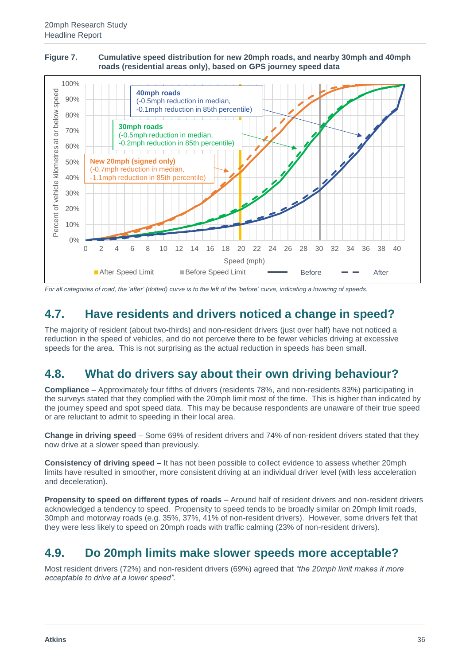#### **Figure 7. Cumulative speed distribution for new 20mph roads, and nearby 30mph and 40mph roads (residential areas only), based on GPS journey speed data**



*For all categories of road, the 'after' (dotted) curve is to the left of the 'before' curve, indicating a lowering of speeds.*

## <span id="page-35-0"></span>**4.7. Have residents and drivers noticed a change in speed?**

The majority of resident (about two-thirds) and non-resident drivers (just over half) have not noticed a reduction in the speed of vehicles, and do not perceive there to be fewer vehicles driving at excessive speeds for the area. This is not surprising as the actual reduction in speeds has been small.

#### <span id="page-35-1"></span>**4.8. What do drivers say about their own driving behaviour?**

**Compliance** – Approximately four fifths of drivers (residents 78%, and non-residents 83%) participating in the surveys stated that they complied with the 20mph limit most of the time. This is higher than indicated by the journey speed and spot speed data. This may be because respondents are unaware of their true speed or are reluctant to admit to speeding in their local area.

**Change in driving speed** – Some 69% of resident drivers and 74% of non-resident drivers stated that they now drive at a slower speed than previously.

**Consistency of driving speed** – It has not been possible to collect evidence to assess whether 20mph limits have resulted in smoother, more consistent driving at an individual driver level (with less acceleration and deceleration).

**Propensity to speed on different types of roads** – Around half of resident drivers and non-resident drivers acknowledged a tendency to speed. Propensity to speed tends to be broadly similar on 20mph limit roads, 30mph and motorway roads (e.g. 35%, 37%, 41% of non-resident drivers). However, some drivers felt that they were less likely to speed on 20mph roads with traffic calming (23% of non-resident drivers).

#### <span id="page-35-2"></span>**4.9. Do 20mph limits make slower speeds more acceptable?**

Most resident drivers (72%) and non-resident drivers (69%) agreed that *"the 20mph limit makes it more acceptable to drive at a lower speed"*.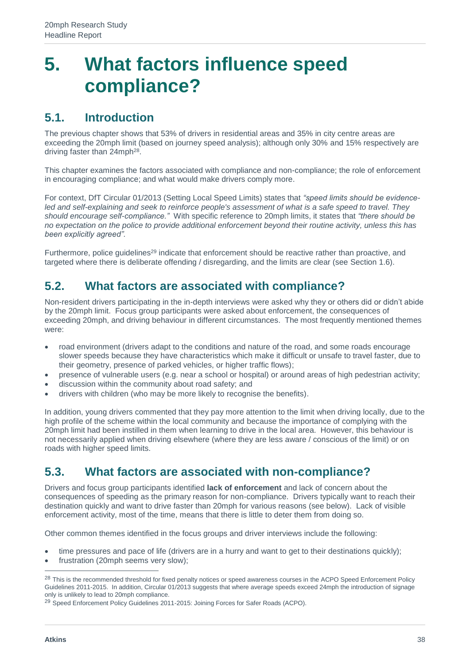## <span id="page-37-0"></span>**5. What factors influence speed compliance?**

### <span id="page-37-1"></span>**5.1. Introduction**

The previous chapter shows that 53% of drivers in residential areas and 35% in city centre areas are exceeding the 20mph limit (based on journey speed analysis); although only 30% and 15% respectively are driving faster than 24mph<sup>28</sup>.

This chapter examines the factors associated with compliance and non-compliance; the role of enforcement in encouraging compliance; and what would make drivers comply more.

For context, DfT Circular 01/2013 (Setting Local Speed Limits) states that *"speed limits should be evidenceled and self-explaining and seek to reinforce people's assessment of what is a safe speed to travel. They should encourage self-compliance."* With specific reference to 20mph limits, it states that *"there should be no expectation on the police to provide additional enforcement beyond their routine activity, unless this has been explicitly agreed".*

Furthermore, police guidelines<sup>29</sup> indicate that enforcement should be reactive rather than proactive, and targeted where there is deliberate offending / disregarding, and the limits are clear (see Section 1.6).

### <span id="page-37-2"></span>**5.2. What factors are associated with compliance?**

Non-resident drivers participating in the in-depth interviews were asked why they or others did or didn't abide by the 20mph limit. Focus group participants were asked about enforcement, the consequences of exceeding 20mph, and driving behaviour in different circumstances. The most frequently mentioned themes were:

- road environment (drivers adapt to the conditions and nature of the road, and some roads encourage slower speeds because they have characteristics which make it difficult or unsafe to travel faster, due to their geometry, presence of parked vehicles, or higher traffic flows);
- presence of vulnerable users (e.g. near a school or hospital) or around areas of high pedestrian activity;
- discussion within the community about road safety; and
- drivers with children (who may be more likely to recognise the benefits).

In addition, young drivers commented that they pay more attention to the limit when driving locally, due to the high profile of the scheme within the local community and because the importance of complying with the 20mph limit had been instilled in them when learning to drive in the local area. However, this behaviour is not necessarily applied when driving elsewhere (where they are less aware / conscious of the limit) or on roads with higher speed limits.

## <span id="page-37-3"></span>**5.3. What factors are associated with non-compliance?**

Drivers and focus group participants identified **lack of enforcement** and lack of concern about the consequences of speeding as the primary reason for non-compliance. Drivers typically want to reach their destination quickly and want to drive faster than 20mph for various reasons (see below). Lack of visible enforcement activity, most of the time, means that there is little to deter them from doing so.

Other common themes identified in the focus groups and driver interviews include the following:

- time pressures and pace of life (drivers are in a hurry and want to get to their destinations quickly);
- frustration (20mph seems very slow);

<sup>&</sup>lt;sup>28</sup> This is the recommended threshold for fixed penalty notices or speed awareness courses in the ACPO Speed Enforcement Policy Guidelines 2011-2015. In addition, Circular 01/2013 suggests that where average speeds exceed 24mph the introduction of signage only is unlikely to lead to 20mph compliance.

<sup>29</sup> Speed Enforcement Policy Guidelines 2011-2015: Joining Forces for Safer Roads (ACPO).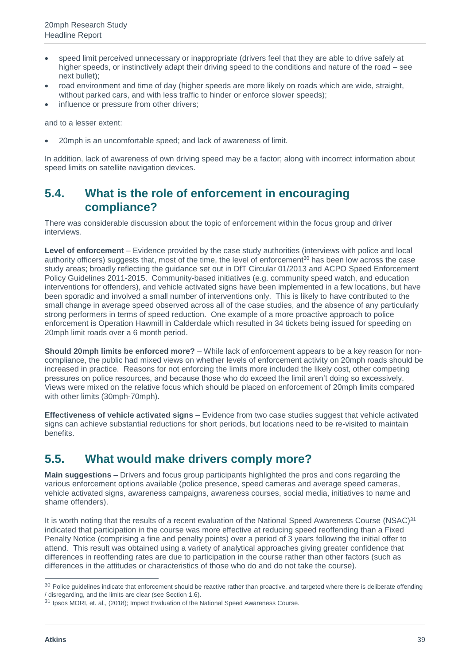- speed limit perceived unnecessary or inappropriate (drivers feel that they are able to drive safely at higher speeds, or instinctively adapt their driving speed to the conditions and nature of the road – see next bullet);
- road environment and time of day (higher speeds are more likely on roads which are wide, straight, without parked cars, and with less traffic to hinder or enforce slower speeds);
- influence or pressure from other drivers:

and to a lesser extent:

• 20mph is an uncomfortable speed; and lack of awareness of limit.

In addition, lack of awareness of own driving speed may be a factor; along with incorrect information about speed limits on satellite navigation devices.

#### <span id="page-38-0"></span>**5.4. What is the role of enforcement in encouraging compliance?**

There was considerable discussion about the topic of enforcement within the focus group and driver interviews.

**Level of enforcement** – Evidence provided by the case study authorities (interviews with police and local authority officers) suggests that, most of the time, the level of enforcement<sup>30</sup> has been low across the case study areas; broadly reflecting the guidance set out in DfT Circular 01/2013 and ACPO Speed Enforcement Policy Guidelines 2011-2015. Community-based initiatives (e.g. community speed watch, and education interventions for offenders), and vehicle activated signs have been implemented in a few locations, but have been sporadic and involved a small number of interventions only. This is likely to have contributed to the small change in average speed observed across all of the case studies, and the absence of any particularly strong performers in terms of speed reduction. One example of a more proactive approach to police enforcement is Operation Hawmill in Calderdale which resulted in 34 tickets being issued for speeding on 20mph limit roads over a 6 month period.

**Should 20mph limits be enforced more?** – While lack of enforcement appears to be a key reason for noncompliance, the public had mixed views on whether levels of enforcement activity on 20mph roads should be increased in practice. Reasons for not enforcing the limits more included the likely cost, other competing pressures on police resources, and because those who do exceed the limit aren't doing so excessively. Views were mixed on the relative focus which should be placed on enforcement of 20mph limits compared with other limits (30mph-70mph).

**Effectiveness of vehicle activated signs** – Evidence from two case studies suggest that vehicle activated signs can achieve substantial reductions for short periods, but locations need to be re-visited to maintain benefits.

#### <span id="page-38-1"></span>**5.5. What would make drivers comply more?**

**Main suggestions** – Drivers and focus group participants highlighted the pros and cons regarding the various enforcement options available (police presence, speed cameras and average speed cameras, vehicle activated signs, awareness campaigns, awareness courses, social media, initiatives to name and shame offenders).

It is worth noting that the results of a recent evaluation of the National Speed Awareness Course (NSAC)<sup>31</sup> indicated that participation in the course was more effective at reducing speed reoffending than a Fixed Penalty Notice (comprising a fine and penalty points) over a period of 3 years following the initial offer to attend. This result was obtained using a variety of analytical approaches giving greater confidence that differences in reoffending rates are due to participation in the course rather than other factors (such as differences in the attitudes or characteristics of those who do and do not take the course).

<sup>&</sup>lt;sup>30</sup> Police guidelines indicate that enforcement should be reactive rather than proactive, and targeted where there is deliberate offending / disregarding, and the limits are clear (see Section 1.6).

<sup>31</sup> Ipsos MORI, et. al., (2018); Impact Evaluation of the National Speed Awareness Course.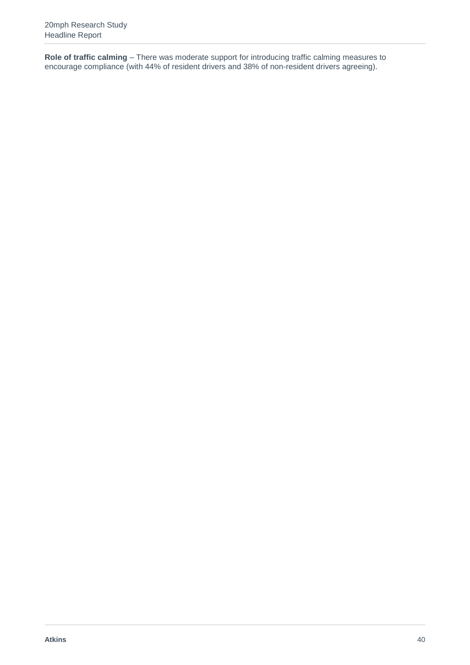**Role of traffic calming** – There was moderate support for introducing traffic calming measures to encourage compliance (with 44% of resident drivers and 38% of non-resident drivers agreeing).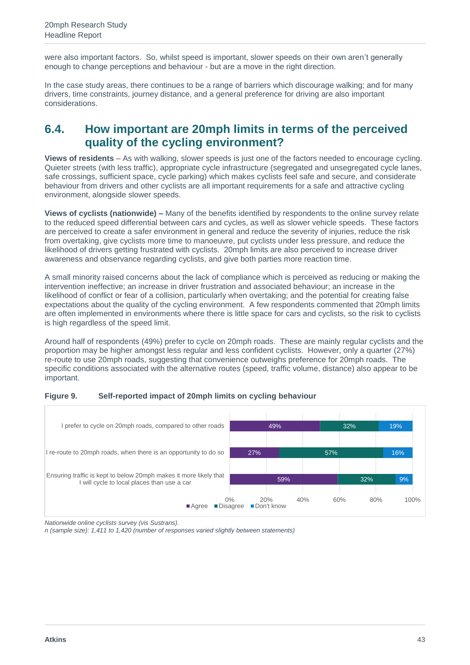A Roadside Education Programme, supported by the Police and local schools, was introduced whereby drivers travelling in excess of the speed limit were invited to take part in various education activities, rather than taking points on their licence. These included a roadside education bus, where they could go inside DQG ZDWFK D YLGHR HISODLQLQJ WKH GLIIHUHQFHV RI WUDYH where a court situation was played out with children from local schools interrogating the offender. The Council would like to have continued these interventions but are currently unable to due to resource constraints.

However, regular updates are provided on social media, regarding the latest 20mph news and events. This includes interviews with taxi drivers about why they support the 20mph limit, news about local businesses actively supporting the limit, interviews with business and community leaders about their daily commute on foot and by cycle, and information about cycle routes throughout the city.

Images taken from: www.the20effect.com

#### Lessons and considerations for decision -makers  $2.6.$

The findings of the process evaluation have identified a number of lessons and considerations for decision makers.

Clarity around strategic case, objectives and outcomes - Only a small proportion of case study schemes were specifically identified in WKH ORFDO @cal WanspbrLPMan find related strategies. In addition, scheme objectives were often not clearly documented, with most authorities setting out the intended outcomes in a more descriptive manner on their website. Local authority officers often did not have a clear understanding of the relationship between lowering the speed limit and impacts associated with congestion. air quality and active travel (i.e. how exactly these outcomes might occur, in what contexts, and the scale of likely change), reflecting the limited research evidence available at the time.

Appropriate consideration and articulation of the strategic rationale for the scheme, the objectives to be delivered, and intended outcomes is a key requirement for ensuring any intervention is effective and delivers maximum value. In the case of 20mph limits, such an approach is important in terms of:

- understanding the extent to which schemes can contribute to policies relating to transport, health,  $\mathsf{X}$ environment, the local economy and local communities;
- identifying opportunities to link the scheme with related transport and wider policy initiatives, as part of  $\mathsf{X}$ an integrated strategy to address broader policy objectives;
- identifying and ensuring buy-in from appropriate partners (including funding):  $\mathsf{X}$
- x establishing a common understanding of scheme benefits and what success looks like; and
- x ensuring the right outcomes are monitored to determine whether the scheme has been successful.

This study substantially strengthens the evidence base that policy makers are able to draw on, but empirical evidence regarding wider impacts (relating to the local economy, the environment and health) is weak. inconclusive, or complex (particularly regarding air quality) and there remains an evidence gap regarding the impact of 20mph limits on these areas.

Integrated approach  $\pm 20$ mph schemes have the potential to deliver a wide range of benefits, and in the longer term, health, environmental and community benefits could be greater than the more obvious road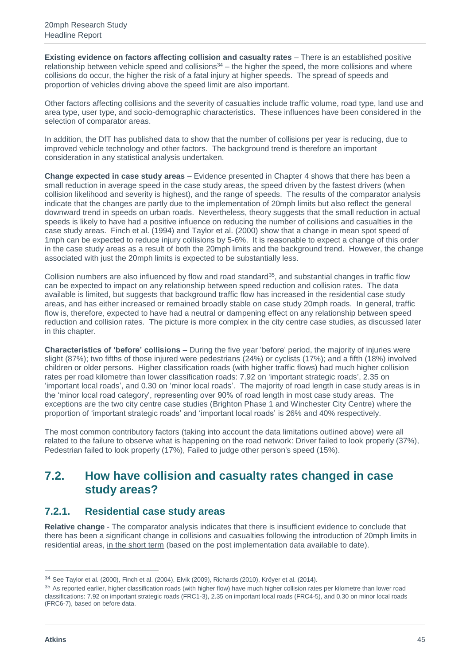**Existing evidence on factors affecting collision and casualty rates** – There is an established positive relationship between vehicle speed and collisions<sup>34</sup> – the higher the speed, the more collisions and where collisions do occur, the higher the risk of a fatal injury at higher speeds. The spread of speeds and proportion of vehicles driving above the speed limit are also important.

Other factors affecting collisions and the severity of casualties include traffic volume, road type, land use and area type, user type, and socio-demographic characteristics. These influences have been considered in the selection of comparator areas.

In addition, the DfT has published data to show that the number of collisions per year is reducing, due to improved vehicle technology and other factors. The background trend is therefore an important consideration in any statistical analysis undertaken.

**Change expected in case study areas** – Evidence presented in Chapter 4 shows that there has been a small reduction in average speed in the case study areas, the speed driven by the fastest drivers (when collision likelihood and severity is highest), and the range of speeds. The results of the comparator analysis indicate that the changes are partly due to the implementation of 20mph limits but also reflect the general downward trend in speeds on urban roads. Nevertheless, theory suggests that the small reduction in actual speeds is likely to have had a positive influence on reducing the number of collisions and casualties in the case study areas. Finch et al. (1994) and Taylor et al. (2000) show that a change in mean spot speed of 1mph can be expected to reduce injury collisions by 5-6%. It is reasonable to expect a change of this order in the case study areas as a result of both the 20mph limits and the background trend. However, the change associated with just the 20mph limits is expected to be substantially less.

Collision numbers are also influenced by flow and road standard<sup>35</sup>, and substantial changes in traffic flow can be expected to impact on any relationship between speed reduction and collision rates. The data available is limited, but suggests that background traffic flow has increased in the residential case study areas, and has either increased or remained broadly stable on case study 20mph roads. In general, traffic flow is, therefore, expected to have had a neutral or dampening effect on any relationship between speed reduction and collision rates. The picture is more complex in the city centre case studies, as discussed later in this chapter.

**Characteristics of 'before' collisions** – During the five year 'before' period, the majority of injuries were slight (87%); two fifths of those injured were pedestrians (24%) or cyclists (17%); and a fifth (18%) involved children or older persons. Higher classification roads (with higher traffic flows) had much higher collision rates per road kilometre than lower classification roads: 7.92 on 'important strategic roads', 2.35 on 'important local roads', and 0.30 on 'minor local roads'. The majority of road length in case study areas is in the 'minor local road category', representing over 90% of road length in most case study areas. The exceptions are the two city centre case studies (Brighton Phase 1 and Winchester City Centre) where the proportion of 'important strategic roads' and 'important local roads' is 26% and 40% respectively.

The most common contributory factors (taking into account the data limitations outlined above) were all related to the failure to observe what is happening on the road network: Driver failed to look properly (37%), Pedestrian failed to look properly (17%), Failed to judge other person's speed (15%).

#### <span id="page-44-0"></span>**7.2. How have collision and casualty rates changed in case study areas?**

#### **7.2.1. Residential case study areas**

**Relative change** - The comparator analysis indicates that there is insufficient evidence to conclude that there has been a significant change in collisions and casualties following the introduction of 20mph limits in residential areas, in the short term (based on the post implementation data available to date).

<sup>34</sup> See Taylor et al. (2000), Finch et al. (2004), Elvik (2009), Richards (2010), Kröyer et al. (2014).

<sup>&</sup>lt;sup>35</sup> As reported earlier, higher classification roads (with higher flow) have much higher collision rates per kilometre than lower road classifications: 7.92 on important strategic roads (FRC1-3), 2.35 on important local roads (FRC4-5), and 0.30 on minor local roads (FRC6-7), based on before data.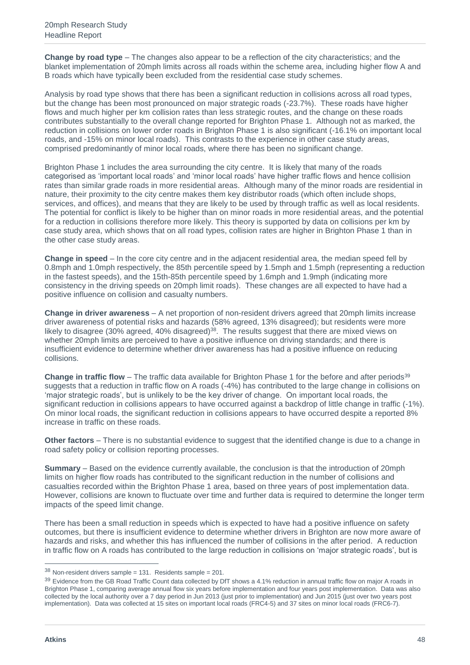**Change by road type** – The changes also appear to be a reflection of the city characteristics; and the blanket implementation of 20mph limits across all roads within the scheme area, including higher flow A and B roads which have typically been excluded from the residential case study schemes.

Analysis by road type shows that there has been a significant reduction in collisions across all road types, but the change has been most pronounced on major strategic roads (-23.7%). These roads have higher flows and much higher per km collision rates than less strategic routes, and the change on these roads contributes substantially to the overall change reported for Brighton Phase 1. Although not as marked, the reduction in collisions on lower order roads in Brighton Phase 1 is also significant (-16.1% on important local roads, and -15% on minor local roads). This contrasts to the experience in other case study areas, comprised predominantly of minor local roads, where there has been no significant change.

Brighton Phase 1 includes the area surrounding the city centre. It is likely that many of the roads categorised as 'important local roads' and 'minor local roads' have higher traffic flows and hence collision rates than similar grade roads in more residential areas. Although many of the minor roads are residential in nature, their proximity to the city centre makes them key distributor roads (which often include shops, services, and offices), and means that they are likely to be used by through traffic as well as local residents. The potential for conflict is likely to be higher than on minor roads in more residential areas, and the potential for a reduction in collisions therefore more likely. This theory is supported by data on collisions per km by case study area, which shows that on all road types, collision rates are higher in Brighton Phase 1 than in the other case study areas.

**Change in speed** – In the core city centre and in the adjacent residential area, the median speed fell by 0.8mph and 1.0mph respectively, the 85th percentile speed by 1.5mph and 1.5mph (representing a reduction in the fastest speeds), and the 15th-85th percentile speed by 1.6mph and 1.9mph (indicating more consistency in the driving speeds on 20mph limit roads). These changes are all expected to have had a positive influence on collision and casualty numbers.

**Change in driver awareness** – A net proportion of non-resident drivers agreed that 20mph limits increase driver awareness of potential risks and hazards (58% agreed, 13% disagreed); but residents were more likely to disagree (30% agreed, 40% disagreed)<sup>38</sup>. The results suggest that there are mixed views on whether 20mph limits are perceived to have a positive influence on driving standards; and there is insufficient evidence to determine whether driver awareness has had a positive influence on reducing collisions.

**Change in traffic flow** – The traffic data available for Brighton Phase 1 for the before and after periods<sup>39</sup> suggests that a reduction in traffic flow on A roads (-4%) has contributed to the large change in collisions on 'major strategic roads', but is unlikely to be the key driver of change. On important local roads, the significant reduction in collisions appears to have occurred against a backdrop of little change in traffic (-1%). On minor local roads, the significant reduction in collisions appears to have occurred despite a reported 8% increase in traffic on these roads.

**Other factors** – There is no substantial evidence to suggest that the identified change is due to a change in road safety policy or collision reporting processes.

**Summary** – Based on the evidence currently available, the conclusion is that the introduction of 20mph limits on higher flow roads has contributed to the significant reduction in the number of collisions and casualties recorded within the Brighton Phase 1 area, based on three years of post implementation data. However, collisions are known to fluctuate over time and further data is required to determine the longer term impacts of the speed limit change.

There has been a small reduction in speeds which is expected to have had a positive influence on safety outcomes, but there is insufficient evidence to determine whether drivers in Brighton are now more aware of hazards and risks, and whether this has influenced the number of collisions in the after period. A reduction in traffic flow on A roads has contributed to the large reduction in collisions on 'major strategic roads', but is

 $38$  Non-resident drivers sample = 131. Residents sample = 201.

<sup>39</sup> Evidence from the GB Road Traffic Count data collected by DfT shows a 4.1% reduction in annual traffic flow on major A roads in Brighton Phase 1, comparing average annual flow six years before implementation and four years post implementation. Data was also collected by the local authority over a 7 day period in Jun 2013 (just prior to implementation) and Jun 2015 (just over two years post implementation). Data was collected at 15 sites on important local roads (FRC4-5) and 37 sites on minor local roads (FRC6-7).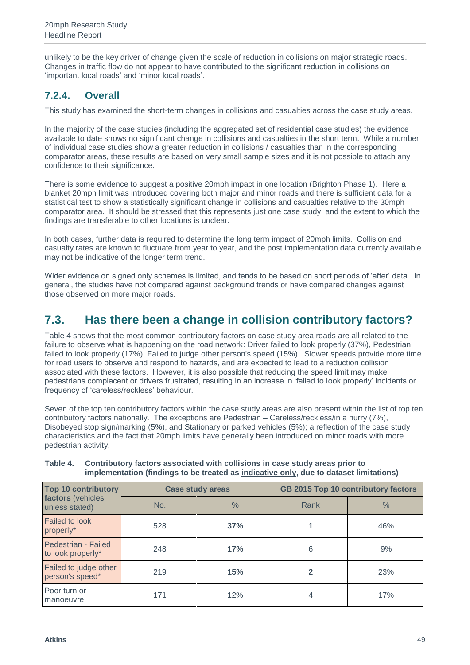unlikely to be the key driver of change given the scale of reduction in collisions on major strategic roads. Changes in traffic flow do not appear to have contributed to the significant reduction in collisions on 'important local roads' and 'minor local roads'.

#### **7.2.4. Overall**

This study has examined the short-term changes in collisions and casualties across the case study areas.

In the majority of the case studies (including the aggregated set of residential case studies) the evidence available to date shows no significant change in collisions and casualties in the short term. While a number of individual case studies show a greater reduction in collisions / casualties than in the corresponding comparator areas, these results are based on very small sample sizes and it is not possible to attach any confidence to their significance.

There is some evidence to suggest a positive 20mph impact in one location (Brighton Phase 1). Here a blanket 20mph limit was introduced covering both major and minor roads and there is sufficient data for a statistical test to show a statistically significant change in collisions and casualties relative to the 30mph comparator area. It should be stressed that this represents just one case study, and the extent to which the findings are transferable to other locations is unclear.

In both cases, further data is required to determine the long term impact of 20mph limits. Collision and casualty rates are known to fluctuate from year to year, and the post implementation data currently available may not be indicative of the longer term trend.

Wider evidence on signed only schemes is limited, and tends to be based on short periods of 'after' data. In general, the studies have not compared against background trends or have compared changes against those observed on more major roads.

### <span id="page-48-0"></span>**7.3. Has there been a change in collision contributory factors?**

Table 4 shows that the most common contributory factors on case study area roads are all related to the failure to observe what is happening on the road network: Driver failed to look properly (37%), Pedestrian failed to look properly (17%), Failed to judge other person's speed (15%). Slower speeds provide more time for road users to observe and respond to hazards, and are expected to lead to a reduction collision associated with these factors. However, it is also possible that reducing the speed limit may make pedestrians complacent or drivers frustrated, resulting in an increase in 'failed to look properly' incidents or frequency of 'careless/reckless' behaviour.

Seven of the top ten contributory factors within the case study areas are also present within the list of top ten contributory factors nationally. The exceptions are Pedestrian – Careless/reckless/in a hurry (7%), Disobeyed stop sign/marking (5%), and Stationary or parked vehicles (5%); a reflection of the case study characteristics and the fact that 20mph limits have generally been introduced on minor roads with more pedestrian activity.

| <b>Top 10 contributory</b>               | <b>Case study areas</b> |               | <b>GB 2015 Top 10 contributory factors</b> |               |
|------------------------------------------|-------------------------|---------------|--------------------------------------------|---------------|
| factors (vehicles<br>unless stated)      | No.                     | $\frac{0}{6}$ | Rank                                       | $\frac{0}{0}$ |
| <b>Failed to look</b><br>properly*       | 528                     | 37%           |                                            | 46%           |
| Pedestrian - Failed<br>to look properly* | 248                     | 17%           | 6                                          | 9%            |
| Failed to judge other<br>person's speed* | 219                     | 15%           | $\mathbf{2}$                               | 23%           |
| Poor turn or<br>manoeuvre                | 171                     | 12%           | 4                                          | 17%           |

#### **Table 4. Contributory factors associated with collisions in case study areas prior to implementation (findings to be treated as indicative only, due to dataset limitations)**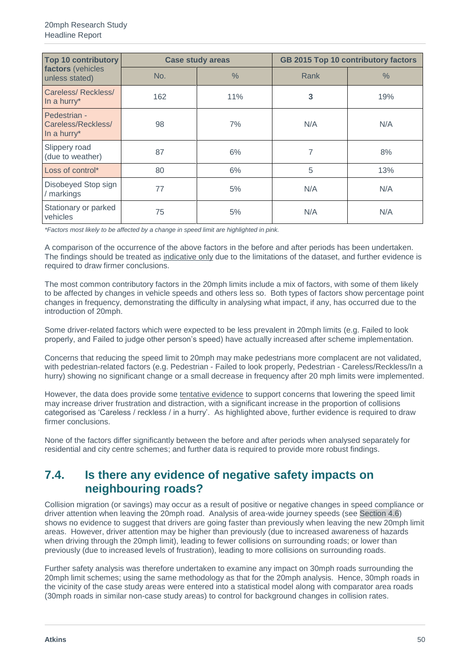| <b>Top 10 contributory</b>                        |     | <b>Case study areas</b> | GB 2015 Top 10 contributory factors |      |
|---------------------------------------------------|-----|-------------------------|-------------------------------------|------|
| factors (vehicles<br>unless stated)               | No. | $\frac{0}{0}$           | Rank                                | $\%$ |
| Careless/Reckless/<br>In a hurry*                 | 162 | 11%                     | 3                                   | 19%  |
| Pedestrian -<br>Careless/Reckless/<br>In a hurry* | 98  | 7%                      | N/A                                 | N/A  |
| Slippery road<br>(due to weather)                 | 87  | 6%                      | 7                                   | 8%   |
| Loss of control*                                  | 80  | 6%                      | 5                                   | 13%  |
| Disobeyed Stop sign<br>/ markings                 | 77  | 5%                      | N/A                                 | N/A  |
| Stationary or parked<br>vehicles                  | 75  | 5%                      | N/A                                 | N/A  |

*\*Factors most likely to be affected by a change in speed limit are highlighted in pink.*

A comparison of the occurrence of the above factors in the before and after periods has been undertaken. The findings should be treated as indicative only due to the limitations of the dataset, and further evidence is required to draw firmer conclusions.

The most common contributory factors in the 20mph limits include a mix of factors, with some of them likely to be affected by changes in vehicle speeds and others less so. Both types of factors show percentage point changes in frequency, demonstrating the difficulty in analysing what impact, if any, has occurred due to the introduction of 20mph.

Some driver-related factors which were expected to be less prevalent in 20mph limits (e.g. Failed to look properly, and Failed to judge other person's speed) have actually increased after scheme implementation.

Concerns that reducing the speed limit to 20mph may make pedestrians more complacent are not validated, with pedestrian-related factors (e.g. Pedestrian - Failed to look properly, Pedestrian - Careless/Reckless/In a hurry) showing no significant change or a small decrease in frequency after 20 mph limits were implemented.

However, the data does provide some tentative evidence to support concerns that lowering the speed limit may increase driver frustration and distraction, with a significant increase in the proportion of collisions categorised as 'Careless / reckless / in a hurry'. As highlighted above, further evidence is required to draw firmer conclusions.

None of the factors differ significantly between the before and after periods when analysed separately for residential and city centre schemes; and further data is required to provide more robust findings.

#### <span id="page-49-0"></span>**7.4. Is there any evidence of negative safety impacts on neighbouring roads?**

Collision migration (or savings) may occur as a result of positive or negative changes in speed compliance or driver attention when leaving the 20mph road. Analysis of area-wide journey speeds (see Section 4.6) shows no evidence to suggest that drivers are going faster than previously when leaving the new 20mph limit areas. However, driver attention may be higher than previously (due to increased awareness of hazards when driving through the 20mph limit), leading to fewer collisions on surrounding roads; or lower than previously (due to increased levels of frustration), leading to more collisions on surrounding roads.

Further safety analysis was therefore undertaken to examine any impact on 30mph roads surrounding the 20mph limit schemes; using the same methodology as that for the 20mph analysis. Hence, 30mph roads in the vicinity of the case study areas were entered into a statistical model along with comparator area roads (30mph roads in similar non-case study areas) to control for background changes in collision rates.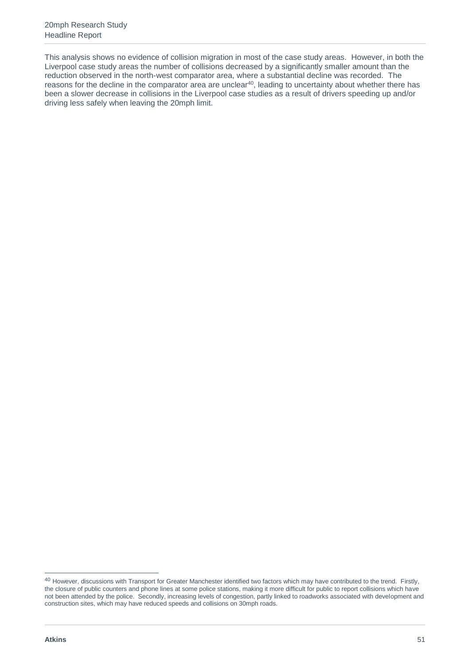This analysis shows no evidence of collision migration in most of the case study areas. However, in both the Liverpool case study areas the number of collisions decreased by a significantly smaller amount than the reduction observed in the north-west comparator area, where a substantial decline was recorded. The reasons for the decline in the comparator area are unclear<sup>40</sup>, leading to uncertainty about whether there has been a slower decrease in collisions in the Liverpool case studies as a result of drivers speeding up and/or driving less safely when leaving the 20mph limit.

 $\overline{a}$ 

 $^{40}$  However, discussions with Transport for Greater Manchester identified two factors which may have contributed to the trend. Firstly, the closure of public counters and phone lines at some police stations, making it more difficult for public to report collisions which have not been attended by the police. Secondly, increasing levels of congestion, partly linked to roadworks associated with development and construction sites, which may have reduced speeds and collisions on 30mph roads.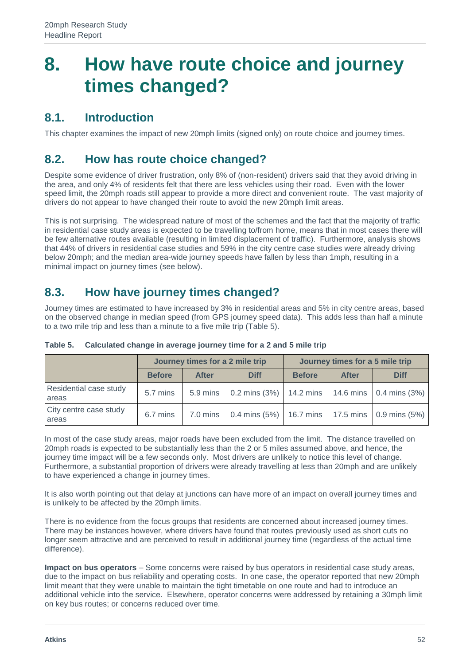## **8. How have route choice and journey times changed?**

#### **8.1. Introduction**

This chapter examines the impact of new 20mph limits (signed only) on route choice and journey times.

#### **8.2. How has route choice changed?**

Despite some evidence of driver frustration, only 8% of (non-resident) drivers said that they avoid driving in the area, and only 4% of residents felt that there are less vehicles using their road. Even with the lower speed limit, the 20mph roads still appear to provide a more direct and convenient route. The vast majority of drivers do not appear to have changed their route to avoid the new 20mph limit areas.

This is not surprising. The widespread nature of most of the schemes and the fact that the majority of traffic in residential case study areas is expected to be travelling to/from home, means that in most cases there will be few alternative routes available (resulting in limited displacement of traffic). Furthermore, analysis shows that 44% of drivers in residential case studies and 59% in the city centre case studies were already driving below 20mph; and the median area-wide journey speeds have fallen by less than 1mph, resulting in a minimal impact on journey times (see below).

## **8.3. How have journey times changed?**

Journey times are estimated to have increased by 3% in residential areas and 5% in city centre areas, based on the observed change in median speed (from GPS journey speed data). This adds less than half a minute to a two mile trip and less than a minute to a five mile trip (Table 5).

|                                 |               | Journey times for a 2 mile trip |                 |               | Journey times for a 5 mile trip |                                 |
|---------------------------------|---------------|---------------------------------|-----------------|---------------|---------------------------------|---------------------------------|
|                                 | <b>Before</b> | <b>After</b>                    | <b>Diff</b>     | <b>Before</b> | <b>After</b>                    | <b>Diff</b>                     |
| Residential case study<br>areas | 5.7 mins      | 5.9 mins                        | $0.2$ mins (3%) | 14.2 mins     |                                 | 14.6 mins $\vert$ 0.4 mins (3%) |
| City centre case study<br>areas | 6.7 mins      | 7.0 mins                        | 0.4 mins $(5%)$ |               | 16.7 mins   17.5 mins           | $0.9 \text{ mins} (5\%)$        |

**Table 5. Calculated change in average journey time for a 2 and 5 mile trip**

In most of the case study areas, major roads have been excluded from the limit. The distance travelled on 20mph roads is expected to be substantially less than the 2 or 5 miles assumed above, and hence, the journey time impact will be a few seconds only. Most drivers are unlikely to notice this level of change. Furthermore, a substantial proportion of drivers were already travelling at less than 20mph and are unlikely to have experienced a change in journey times.

It is also worth pointing out that delay at junctions can have more of an impact on overall journey times and is unlikely to be affected by the 20mph limits.

There is no evidence from the focus groups that residents are concerned about increased journey times. There may be instances however, where drivers have found that routes previously used as short cuts no longer seem attractive and are perceived to result in additional journey time (regardless of the actual time difference).

**Impact on bus operators** – Some concerns were raised by bus operators in residential case study areas, due to the impact on bus reliability and operating costs. In one case, the operator reported that new 20mph limit meant that they were unable to maintain the tight timetable on one route and had to introduce an additional vehicle into the service. Elsewhere, operator concerns were addressed by retaining a 30mph limit on key bus routes; or concerns reduced over time.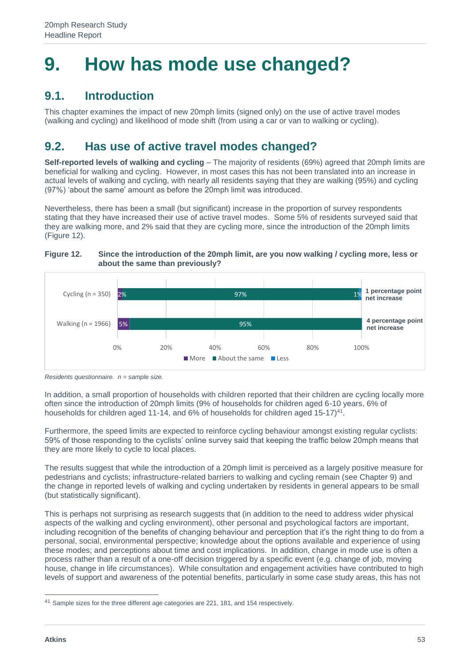## **9. How has mode use changed?**

## **9.1. Introduction**

This chapter examines the impact of new 20mph limits (signed only) on the use of active travel modes (walking and cycling) and likelihood of mode shift (from using a car or van to walking or cycling).

## **9.2. Has use of active travel modes changed?**

**Self-reported levels of walking and cycling** – The majority of residents (69%) agreed that 20mph limits are beneficial for walking and cycling. However, in most cases this has not been translated into an increase in actual levels of walking and cycling, with nearly all residents saying that they are walking (95%) and cycling (97%) 'about the same' amount as before the 20mph limit was introduced.

Nevertheless, there has been a small (but significant) increase in the proportion of survey respondents stating that they have increased their use of active travel modes. Some 5% of residents surveyed said that they are walking more, and 2% said that they are cycling more, since the introduction of the 20mph limits (Figure 12).

#### **Figure 12. Since the introduction of the 20mph limit, are you now walking / cycling more, less or about the same than previously?**



*Residents questionnaire. n = sample size.*

In addition, a small proportion of households with children reported that their children are cycling locally more often since the introduction of 20mph limits (9% of households for children aged 6-10 years, 6% of households for children aged 11-14, and  $6\%$  of households for children aged 15-17 $\rho$ <sup>41</sup>.

Furthermore, the speed limits are expected to reinforce cycling behaviour amongst existing regular cyclists: 59% of those responding to the cyclists' online survey said that keeping the traffic below 20mph means that they are more likely to cycle to local places.

The results suggest that while the introduction of a 20mph limit is perceived as a largely positive measure for pedestrians and cyclists; infrastructure-related barriers to walking and cycling remain (see Chapter 9) and the change in reported levels of walking and cycling undertaken by residents in general appears to be small (but statistically significant).

This is perhaps not surprising as research suggests that (in addition to the need to address wider physical aspects of the walking and cycling environment), other personal and psychological factors are important, including recognition of the benefits of changing behaviour and perception that it's the right thing to do from a personal, social, environmental perspective; knowledge about the options available and experience of using these modes; and perceptions about time and cost implications. In addition, change in mode use is often a process rather than a result of a one-off decision triggered by a specific event (e.g. change of job, moving house, change in life circumstances). While consultation and engagement activities have contributed to high levels of support and awareness of the potential benefits, particularly in some case study areas, this has not

<sup>41</sup> Sample sizes for the three different age categories are 221, 181, and 154 respectively.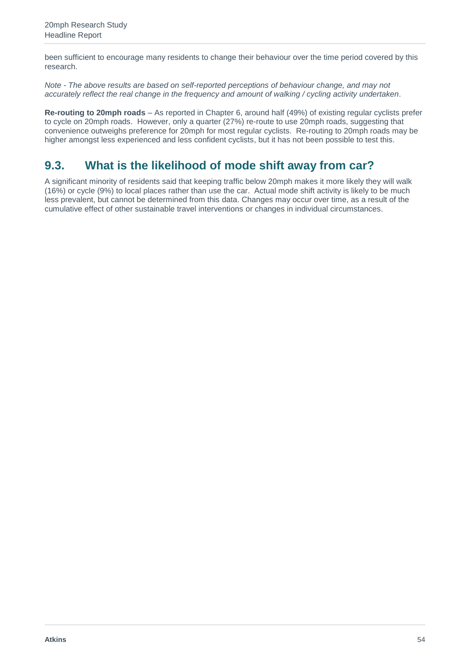been sufficient to encourage many residents to change their behaviour over the time period covered by this research.

*Note - The above results are based on self-reported perceptions of behaviour change, and may not accurately reflect the real change in the frequency and amount of walking / cycling activity undertaken.* 

**Re-routing to 20mph roads** – As reported in Chapter 6, around half (49%) of existing regular cyclists prefer to cycle on 20mph roads. However, only a quarter (27%) re-route to use 20mph roads, suggesting that convenience outweighs preference for 20mph for most regular cyclists. Re-routing to 20mph roads may be higher amongst less experienced and less confident cyclists, but it has not been possible to test this.

## **9.3. What is the likelihood of mode shift away from car?**

A significant minority of residents said that keeping traffic below 20mph makes it more likely they will walk (16%) or cycle (9%) to local places rather than use the car. Actual mode shift activity is likely to be much less prevalent, but cannot be determined from this data. Changes may occur over time, as a result of the cumulative effect of other sustainable travel interventions or changes in individual circumstances.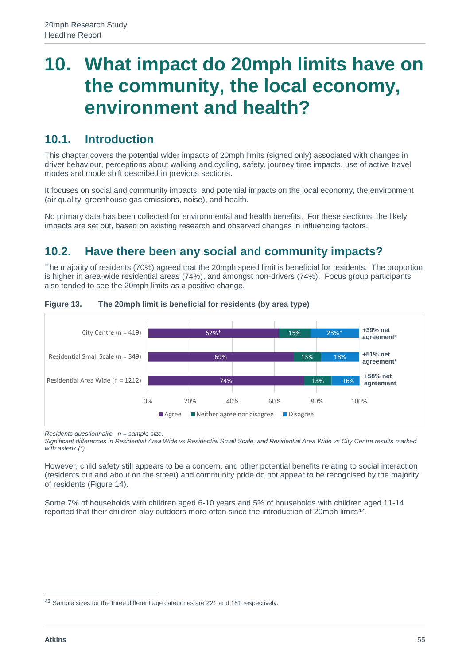## **10. What impact do 20mph limits have on the community, the local economy, environment and health?**

#### **10.1. Introduction**

This chapter covers the potential wider impacts of 20mph limits (signed only) associated with changes in driver behaviour, perceptions about walking and cycling, safety, journey time impacts, use of active travel modes and mode shift described in previous sections.

It focuses on social and community impacts; and potential impacts on the local economy, the environment (air quality, greenhouse gas emissions, noise), and health.

No primary data has been collected for environmental and health benefits. For these sections, the likely impacts are set out, based on existing research and observed changes in influencing factors.

### **10.2. Have there been any social and community impacts?**

The majority of residents (70%) agreed that the 20mph speed limit is beneficial for residents. The proportion is higher in area-wide residential areas (74%), and amongst non-drivers (74%). Focus group participants also tended to see the 20mph limits as a positive change.



#### **Figure 13. The 20mph limit is beneficial for residents (by area type)**

*Residents questionnaire. n = sample size.*

*Significant differences in Residential Area Wide vs Residential Small Scale, and Residential Area Wide vs City Centre results marked with asterix (\*).* 

However, child safety still appears to be a concern, and other potential benefits relating to social interaction (residents out and about on the street) and community pride do not appear to be recognised by the majority of residents (Figure 14).

Some 7% of households with children aged 6-10 years and 5% of households with children aged 11-14 reported that their children play outdoors more often since the introduction of 20mph limits<sup>42</sup>.

<sup>42</sup> Sample sizes for the three different age categories are 221 and 181 respectively.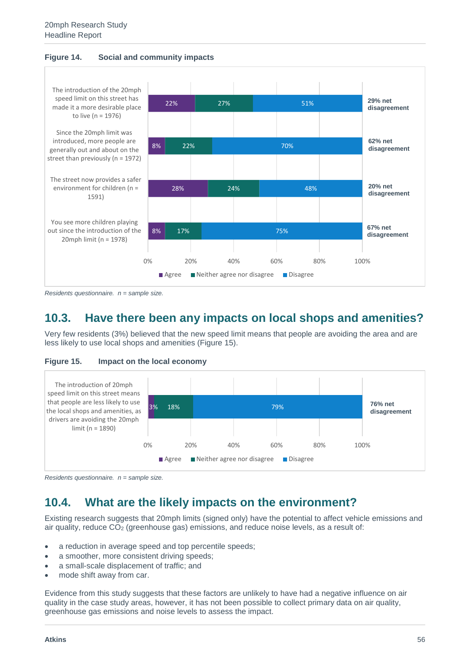



*Residents questionnaire. n = sample size.*

### **10.3. Have there been any impacts on local shops and amenities?**

Very few residents (3%) believed that the new speed limit means that people are avoiding the area and are less likely to use local shops and amenities (Figure 15).





*Residents questionnaire. n = sample size.*

#### **10.4. What are the likely impacts on the environment?**

Existing research suggests that 20mph limits (signed only) have the potential to affect vehicle emissions and air quality, reduce  $CO<sub>2</sub>$  (greenhouse gas) emissions, and reduce noise levels, as a result of:

- a reduction in average speed and top percentile speeds;
- a smoother, more consistent driving speeds;
- a small-scale displacement of traffic; and
- mode shift away from car.

Evidence from this study suggests that these factors are unlikely to have had a negative influence on air quality in the case study areas, however, it has not been possible to collect primary data on air quality, greenhouse gas emissions and noise levels to assess the impact.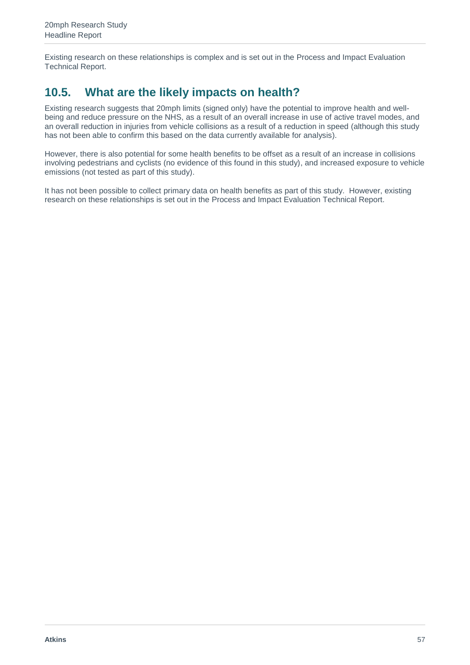Existing research on these relationships is complex and is set out in the Process and Impact Evaluation Technical Report.

## **10.5. What are the likely impacts on health?**

Existing research suggests that 20mph limits (signed only) have the potential to improve health and wellbeing and reduce pressure on the NHS, as a result of an overall increase in use of active travel modes, and an overall reduction in injuries from vehicle collisions as a result of a reduction in speed (although this study has not been able to confirm this based on the data currently available for analysis).

However, there is also potential for some health benefits to be offset as a result of an increase in collisions involving pedestrians and cyclists (no evidence of this found in this study), and increased exposure to vehicle emissions (not tested as part of this study).

It has not been possible to collect primary data on health benefits as part of this study. However, existing research on these relationships is set out in the Process and Impact Evaluation Technical Report.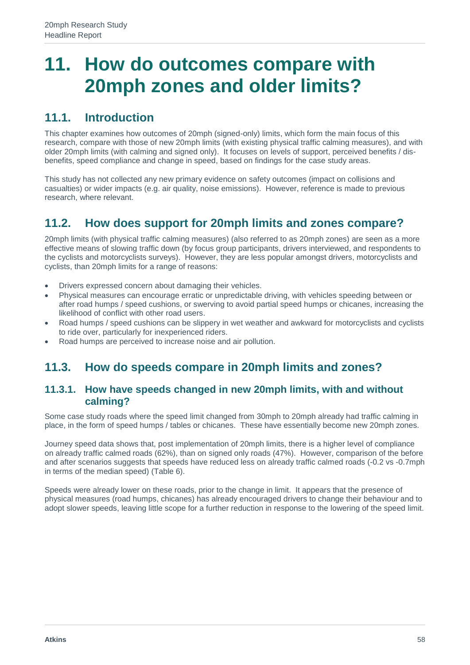## **11. How do outcomes compare with 20mph zones and older limits?**

### **11.1. Introduction**

This chapter examines how outcomes of 20mph (signed-only) limits, which form the main focus of this research, compare with those of new 20mph limits (with existing physical traffic calming measures), and with older 20mph limits (with calming and signed only). It focuses on levels of support, perceived benefits / disbenefits, speed compliance and change in speed, based on findings for the case study areas.

This study has not collected any new primary evidence on safety outcomes (impact on collisions and casualties) or wider impacts (e.g. air quality, noise emissions). However, reference is made to previous research, where relevant.

#### **11.2. How does support for 20mph limits and zones compare?**

20mph limits (with physical traffic calming measures) (also referred to as 20mph zones) are seen as a more effective means of slowing traffic down (by focus group participants, drivers interviewed, and respondents to the cyclists and motorcyclists surveys). However, they are less popular amongst drivers, motorcyclists and cyclists, than 20mph limits for a range of reasons:

- Drivers expressed concern about damaging their vehicles.
- Physical measures can encourage erratic or unpredictable driving, with vehicles speeding between or after road humps / speed cushions, or swerving to avoid partial speed humps or chicanes, increasing the likelihood of conflict with other road users.
- Road humps / speed cushions can be slippery in wet weather and awkward for motorcyclists and cyclists to ride over, particularly for inexperienced riders.
- Road humps are perceived to increase noise and air pollution.

#### **11.3. How do speeds compare in 20mph limits and zones?**

#### **11.3.1. How have speeds changed in new 20mph limits, with and without calming?**

Some case study roads where the speed limit changed from 30mph to 20mph already had traffic calming in place, in the form of speed humps / tables or chicanes. These have essentially become new 20mph zones.

Journey speed data shows that, post implementation of 20mph limits, there is a higher level of compliance on already traffic calmed roads (62%), than on signed only roads (47%). However, comparison of the before and after scenarios suggests that speeds have reduced less on already traffic calmed roads (-0.2 vs -0.7mph in terms of the median speed) (Table 6).

Speeds were already lower on these roads, prior to the change in limit. It appears that the presence of physical measures (road humps, chicanes) has already encouraged drivers to change their behaviour and to adopt slower speeds, leaving little scope for a further reduction in response to the lowering of the speed limit.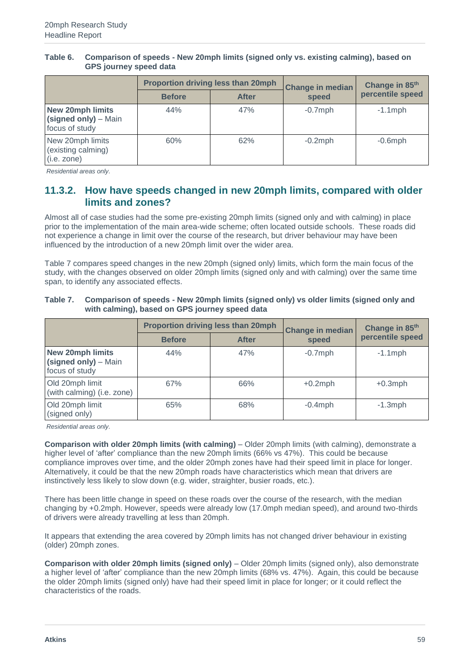|                                                                   | Proportion driving less than 20mph |              | <b>Change in median</b> | Change in 85th   |
|-------------------------------------------------------------------|------------------------------------|--------------|-------------------------|------------------|
|                                                                   | <b>Before</b>                      | <b>After</b> | speed                   | percentile speed |
| <b>New 20mph limits</b><br>(signed only) – Main<br>focus of study | 44%                                | 47%          | $-0.7$ mph              | $-1.1$ mph       |
| New 20mph limits<br>(existing calming)<br>(i.e. zone)             | 60%                                | 62%          | $-0.2$ mph              | $-0.6$ mph       |

#### **Table 6. Comparison of speeds - New 20mph limits (signed only vs. existing calming), based on GPS journey speed data**

*Residential areas only.*

#### **11.3.2. How have speeds changed in new 20mph limits, compared with older limits and zones?**

Almost all of case studies had the some pre-existing 20mph limits (signed only and with calming) in place prior to the implementation of the main area-wide scheme; often located outside schools. These roads did not experience a change in limit over the course of the research, but driver behaviour may have been influenced by the introduction of a new 20mph limit over the wider area.

Table 7 compares speed changes in the new 20mph (signed only) limits, which form the main focus of the study, with the changes observed on older 20mph limits (signed only and with calming) over the same time span, to identify any associated effects.

#### **Table 7. Comparison of speeds - New 20mph limits (signed only) vs older limits (signed only and with calming), based on GPS journey speed data**

|                                                                   |               | Proportion driving less than 20mph | <b>Change in median</b> | Change in 85th   |  |
|-------------------------------------------------------------------|---------------|------------------------------------|-------------------------|------------------|--|
|                                                                   | <b>Before</b> | <b>After</b>                       | speed                   | percentile speed |  |
| <b>New 20mph limits</b><br>(signed only) - Main<br>focus of study | 44%           | 47%                                | $-0.7$ mph              | $-1.1$ mph       |  |
| Old 20mph limit<br>(with calming) (i.e. zone)                     | 67%           | 66%                                | $+0.2$ mph              | $+0.3$ mph       |  |
| Old 20mph limit<br>(signed only)                                  | 65%           | 68%                                | $-0.4$ mph              | $-1.3$ mph       |  |

*Residential areas only.*

**Comparison with older 20mph limits (with calming)** – Older 20mph limits (with calming), demonstrate a higher level of 'after' compliance than the new 20mph limits (66% vs 47%). This could be because compliance improves over time, and the older 20mph zones have had their speed limit in place for longer. Alternatively, it could be that the new 20mph roads have characteristics which mean that drivers are instinctively less likely to slow down (e.g. wider, straighter, busier roads, etc.).

There has been little change in speed on these roads over the course of the research, with the median changing by +0.2mph. However, speeds were already low (17.0mph median speed), and around two-thirds of drivers were already travelling at less than 20mph.

It appears that extending the area covered by 20mph limits has not changed driver behaviour in existing (older) 20mph zones.

**Comparison with older 20mph limits (signed only)** – Older 20mph limits (signed only), also demonstrate a higher level of 'after' compliance than the new 20mph limits (68% vs. 47%). Again, this could be because the older 20mph limits (signed only) have had their speed limit in place for longer; or it could reflect the characteristics of the roads.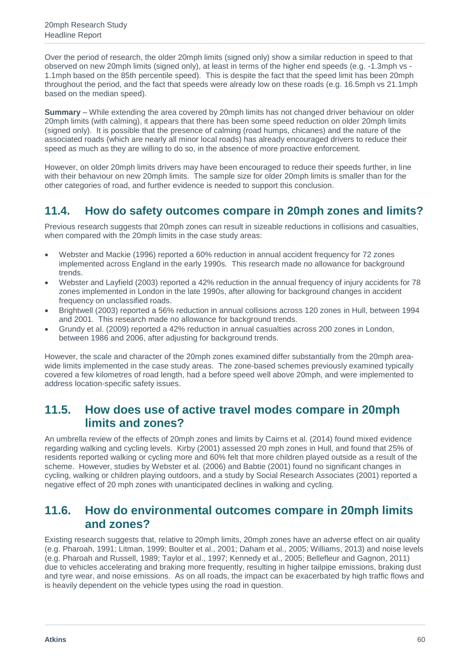Over the period of research, the older 20mph limits (signed only) show a similar reduction in speed to that observed on new 20mph limits (signed only), at least in terms of the higher end speeds (e.g. -1.3mph vs - 1.1mph based on the 85th percentile speed). This is despite the fact that the speed limit has been 20mph throughout the period, and the fact that speeds were already low on these roads (e.g. 16.5mph vs 21.1mph based on the median speed).

**Summary** – While extending the area covered by 20mph limits has not changed driver behaviour on older 20mph limits (with calming), it appears that there has been some speed reduction on older 20mph limits (signed only). It is possible that the presence of calming (road humps, chicanes) and the nature of the associated roads (which are nearly all minor local roads) has already encouraged drivers to reduce their speed as much as they are willing to do so, in the absence of more proactive enforcement.

However, on older 20mph limits drivers may have been encouraged to reduce their speeds further, in line with their behaviour on new 20mph limits. The sample size for older 20mph limits is smaller than for the other categories of road, and further evidence is needed to support this conclusion.

#### **11.4. How do safety outcomes compare in 20mph zones and limits?**

Previous research suggests that 20mph zones can result in sizeable reductions in collisions and casualties, when compared with the 20mph limits in the case study areas:

- Webster and Mackie (1996) reported a 60% reduction in annual accident frequency for 72 zones implemented across England in the early 1990s. This research made no allowance for background trends.
- Webster and Layfield (2003) reported a 42% reduction in the annual frequency of injury accidents for 78 zones implemented in London in the late 1990s, after allowing for background changes in accident frequency on unclassified roads.
- Brightwell (2003) reported a 56% reduction in annual collisions across 120 zones in Hull, between 1994 and 2001. This research made no allowance for background trends.
- Grundy et al. (2009) reported a 42% reduction in annual casualties across 200 zones in London, between 1986 and 2006, after adjusting for background trends.

However, the scale and character of the 20mph zones examined differ substantially from the 20mph areawide limits implemented in the case study areas. The zone-based schemes previously examined typically covered a few kilometres of road length, had a before speed well above 20mph, and were implemented to address location-specific safety issues.

#### **11.5. How does use of active travel modes compare in 20mph limits and zones?**

An umbrella review of the effects of 20mph zones and limits by Cairns et al. (2014) found mixed evidence regarding walking and cycling levels. Kirby (2001) assessed 20 mph zones in Hull, and found that 25% of residents reported walking or cycling more and 60% felt that more children played outside as a result of the scheme. However, studies by Webster et al. (2006) and Babtie (2001) found no significant changes in cycling, walking or children playing outdoors, and a study by Social Research Associates (2001) reported a negative effect of 20 mph zones with unanticipated declines in walking and cycling.

#### **11.6. How do environmental outcomes compare in 20mph limits and zones?**

Existing research suggests that, relative to 20mph limits, 20mph zones have an adverse effect on air quality (e.g. Pharoah, 1991; Litman, 1999; Boulter et al., 2001; Daham et al., 2005; Williams, 2013) and noise levels (e.g. Pharoah and Russell, 1989; Taylor et al., 1997; Kennedy et al., 2005; Bellefleur and Gagnon, 2011) due to vehicles accelerating and braking more frequently, resulting in higher tailpipe emissions, braking dust and tyre wear, and noise emissions. As on all roads, the impact can be exacerbated by high traffic flows and is heavily dependent on the vehicle types using the road in question.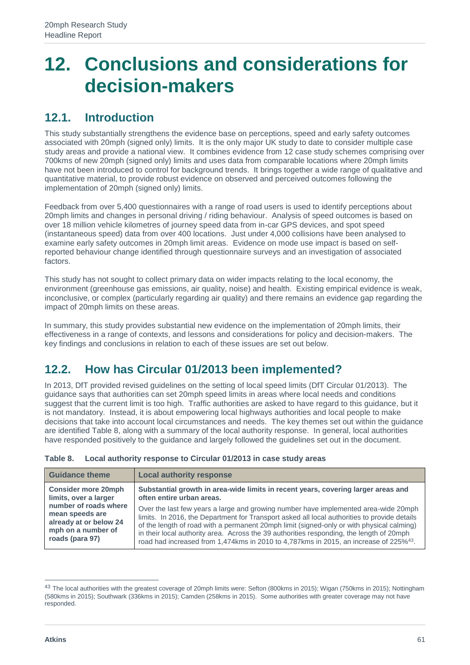## **12. Conclusions and considerations for decision-makers**

### **12.1. Introduction**

This study substantially strengthens the evidence base on perceptions, speed and early safety outcomes associated with 20mph (signed only) limits. It is the only major UK study to date to consider multiple case study areas and provide a national view. It combines evidence from 12 case study schemes comprising over 700kms of new 20mph (signed only) limits and uses data from comparable locations where 20mph limits have not been introduced to control for background trends. It brings together a wide range of qualitative and quantitative material, to provide robust evidence on observed and perceived outcomes following the implementation of 20mph (signed only) limits.

Feedback from over 5,400 questionnaires with a range of road users is used to identify perceptions about 20mph limits and changes in personal driving / riding behaviour. Analysis of speed outcomes is based on over 18 million vehicle kilometres of journey speed data from in-car GPS devices, and spot speed (instantaneous speed) data from over 400 locations. Just under 4,000 collisions have been analysed to examine early safety outcomes in 20mph limit areas. Evidence on mode use impact is based on selfreported behaviour change identified through questionnaire surveys and an investigation of associated factors.

This study has not sought to collect primary data on wider impacts relating to the local economy, the environment (greenhouse gas emissions, air quality, noise) and health. Existing empirical evidence is weak, inconclusive, or complex (particularly regarding air quality) and there remains an evidence gap regarding the impact of 20mph limits on these areas.

In summary, this study provides substantial new evidence on the implementation of 20mph limits, their effectiveness in a range of contexts, and lessons and considerations for policy and decision-makers. The key findings and conclusions in relation to each of these issues are set out below.

## **12.2. How has Circular 01/2013 been implemented?**

In 2013, DfT provided revised guidelines on the setting of local speed limits (DfT Circular 01/2013). The guidance says that authorities can set 20mph speed limits in areas where local needs and conditions suggest that the current limit is too high. Traffic authorities are asked to have regard to this guidance, but it is not mandatory. Instead, it is about empowering local highways authorities and local people to make decisions that take into account local circumstances and needs. The key themes set out within the guidance are identified Table 8, along with a summary of the local authority response. In general, local authorities have responded positively to the guidance and largely followed the guidelines set out in the document.

| <b>Guidance theme</b>                                                                                                                           | <b>Local authority response</b>                                                                                                                                                                                                                                                                                                                                                                    |
|-------------------------------------------------------------------------------------------------------------------------------------------------|----------------------------------------------------------------------------------------------------------------------------------------------------------------------------------------------------------------------------------------------------------------------------------------------------------------------------------------------------------------------------------------------------|
| <b>Consider more 20mph</b><br>limits, over a larger<br>number of roads where<br>mean speeds are<br>already at or below 24<br>mph on a number of | Substantial growth in area-wide limits in recent years, covering larger areas and<br>often entire urban areas.<br>Over the last few years a large and growing number have implemented area-wide 20mph<br>limits. In 2016, the Department for Transport asked all local authorities to provide details<br>of the length of road with a permanent 20mph limit (signed-only or with physical calming) |
| roads (para 97)                                                                                                                                 | in their local authority area. Across the 39 authorities responding, the length of 20mph<br>road had increased from 1,474kms in 2010 to 4,787kms in 2015, an increase of 225% <sup>43</sup> .                                                                                                                                                                                                      |

| Table 8. | Local authority response to Circular 01/2013 in case study areas |
|----------|------------------------------------------------------------------|
|----------|------------------------------------------------------------------|

<sup>&</sup>lt;sup>43</sup> The local authorities with the greatest coverage of 20mph limits were: Sefton (800kms in 2015); Wigan (750kms in 2015); Nottingham (580kms in 2015); Southwark (336kms in 2015); Camden (258kms in 2015). Some authorities with greater coverage may not have responded.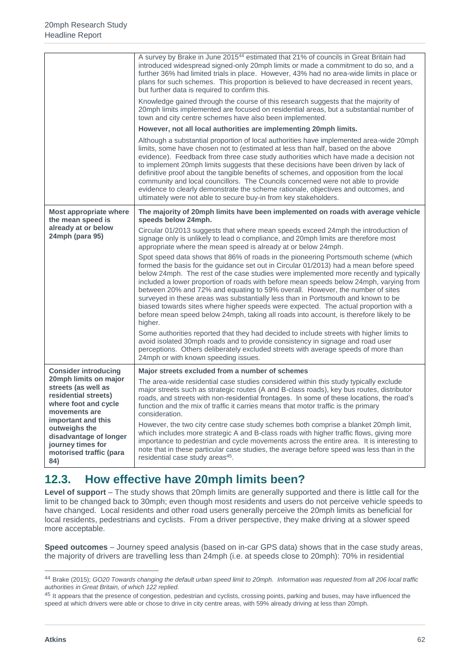|                                                                                                                                     | A survey by Brake in June 2015 <sup>44</sup> estimated that 21% of councils in Great Britain had<br>introduced widespread signed-only 20mph limits or made a commitment to do so, and a<br>further 36% had limited trials in place. However, 43% had no area-wide limits in place or<br>plans for such schemes. This proportion is believed to have decreased in recent years,<br>but further data is required to confirm this.<br>Knowledge gained through the course of this research suggests that the majority of                                                                                                                                                                                                                |
|-------------------------------------------------------------------------------------------------------------------------------------|--------------------------------------------------------------------------------------------------------------------------------------------------------------------------------------------------------------------------------------------------------------------------------------------------------------------------------------------------------------------------------------------------------------------------------------------------------------------------------------------------------------------------------------------------------------------------------------------------------------------------------------------------------------------------------------------------------------------------------------|
|                                                                                                                                     | 20mph limits implemented are focused on residential areas, but a substantial number of<br>town and city centre schemes have also been implemented.                                                                                                                                                                                                                                                                                                                                                                                                                                                                                                                                                                                   |
|                                                                                                                                     | However, not all local authorities are implementing 20mph limits.                                                                                                                                                                                                                                                                                                                                                                                                                                                                                                                                                                                                                                                                    |
|                                                                                                                                     | Although a substantial proportion of local authorities have implemented area-wide 20mph<br>limits, some have chosen not to (estimated at less than half, based on the above<br>evidence). Feedback from three case study authorities which have made a decision not<br>to implement 20mph limits suggests that these decisions have been driven by lack of<br>definitive proof about the tangible benefits of schemes, and opposition from the local<br>community and local councillors. The Councils concerned were not able to provide<br>evidence to clearly demonstrate the scheme rationale, objectives and outcomes, and<br>ultimately were not able to secure buy-in from key stakeholders.                                   |
| <b>Most appropriate where</b><br>the mean speed is                                                                                  | The majority of 20mph limits have been implemented on roads with average vehicle<br>speeds below 24mph.                                                                                                                                                                                                                                                                                                                                                                                                                                                                                                                                                                                                                              |
| already at or below<br>24mph (para 95)                                                                                              | Circular 01/2013 suggests that where mean speeds exceed 24mph the introduction of<br>signage only is unlikely to lead o compliance, and 20mph limits are therefore most<br>appropriate where the mean speed is already at or below 24mph.                                                                                                                                                                                                                                                                                                                                                                                                                                                                                            |
|                                                                                                                                     | Spot speed data shows that 86% of roads in the pioneering Portsmouth scheme (which<br>formed the basis for the guidance set out in Circular 01/2013) had a mean before speed<br>below 24mph. The rest of the case studies were implemented more recently and typically<br>included a lower proportion of roads with before mean speeds below 24mph, varying from<br>between 20% and 72% and equating to 59% overall. However, the number of sites<br>surveyed in these areas was substantially less than in Portsmouth and known to be<br>biased towards sites where higher speeds were expected. The actual proportion with a<br>before mean speed below 24mph, taking all roads into account, is therefore likely to be<br>higher. |
|                                                                                                                                     | Some authorities reported that they had decided to include streets with higher limits to<br>avoid isolated 30mph roads and to provide consistency in signage and road user<br>perceptions. Others deliberately excluded streets with average speeds of more than<br>24mph or with known speeding issues.                                                                                                                                                                                                                                                                                                                                                                                                                             |
| <b>Consider introducing</b>                                                                                                         | Major streets excluded from a number of schemes                                                                                                                                                                                                                                                                                                                                                                                                                                                                                                                                                                                                                                                                                      |
| 20mph limits on major<br>streets (as well as<br>residential streets)<br>where foot and cycle<br>movements are<br>important and this | The area-wide residential case studies considered within this study typically exclude<br>major streets such as strategic routes (A and B-class roads), key bus routes, distributor<br>roads, and streets with non-residential frontages. In some of these locations, the road's<br>function and the mix of traffic it carries means that motor traffic is the primary<br>consideration.                                                                                                                                                                                                                                                                                                                                              |
| outweighs the<br>disadvantage of longer<br>journey times for<br>motorised traffic (para<br>84)                                      | However, the two city centre case study schemes both comprise a blanket 20mph limit,<br>which includes more strategic A and B-class roads with higher traffic flows, giving more<br>importance to pedestrian and cycle movements across the entire area. It is interesting to<br>note that in these particular case studies, the average before speed was less than in the<br>residential case study areas <sup>45</sup> .                                                                                                                                                                                                                                                                                                           |

## **12.3. How effective have 20mph limits been?**

**Level of support** – The study shows that 20mph limits are generally supported and there is little call for the limit to be changed back to 30mph; even though most residents and users do not perceive vehicle speeds to have changed. Local residents and other road users generally perceive the 20mph limits as beneficial for local residents, pedestrians and cyclists. From a driver perspective, they make driving at a slower speed more acceptable.

**Speed outcomes** – Journey speed analysis (based on in-car GPS data) shows that in the case study areas, the majority of drivers are travelling less than 24mph (i.e. at speeds close to 20mph): 70% in residential

<sup>44</sup> Brake (2015); *GO20 Towards changing the default urban speed limit to 20mph. Information was requested from all 206 local traffic authorities in Great Britain, of which 122 replied.*

<sup>&</sup>lt;sup>45</sup> It appears that the presence of congestion, pedestrian and cyclists, crossing points, parking and buses, may have influenced the speed at which drivers were able or chose to drive in city centre areas, with 59% already driving at less than 20mph.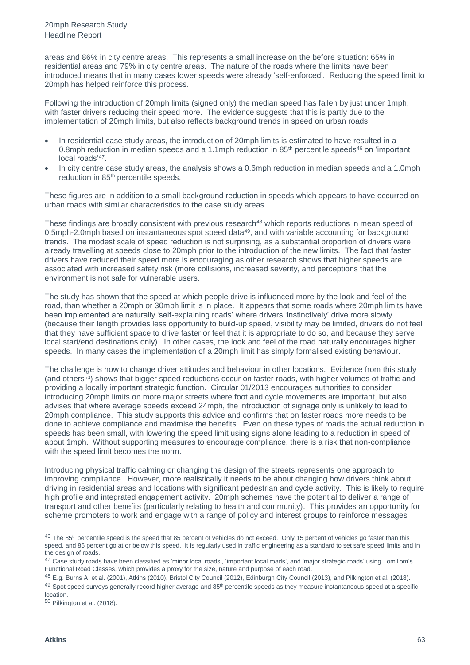areas and 86% in city centre areas. This represents a small increase on the before situation: 65% in residential areas and 79% in city centre areas. The nature of the roads where the limits have been introduced means that in many cases lower speeds were already 'self-enforced'. Reducing the speed limit to 20mph has helped reinforce this process.

Following the introduction of 20mph limits (signed only) the median speed has fallen by just under 1mph, with faster drivers reducing their speed more. The evidence suggests that this is partly due to the implementation of 20mph limits, but also reflects background trends in speed on urban roads.

- In residential case study areas, the introduction of 20mph limits is estimated to have resulted in a 0.8mph reduction in median speeds and a 1.1mph reduction in 85<sup>th</sup> percentile speeds<sup>46</sup> on 'important local roads'<sup>47</sup> .
- In city centre case study areas, the analysis shows a 0.6mph reduction in median speeds and a 1.0mph reduction in 85th percentile speeds.

These figures are in addition to a small background reduction in speeds which appears to have occurred on urban roads with similar characteristics to the case study areas.

These findings are broadly consistent with previous research<sup>48</sup> which reports reductions in mean speed of 0.5mph-2.0mph based on instantaneous spot speed data<sup>49</sup>, and with variable accounting for background trends. The modest scale of speed reduction is not surprising, as a substantial proportion of drivers were already travelling at speeds close to 20mph prior to the introduction of the new limits. The fact that faster drivers have reduced their speed more is encouraging as other research shows that higher speeds are associated with increased safety risk (more collisions, increased severity, and perceptions that the environment is not safe for vulnerable users.

The study has shown that the speed at which people drive is influenced more by the look and feel of the road, than whether a 20mph or 30mph limit is in place. It appears that some roads where 20mph limits have been implemented are naturally 'self-explaining roads' where drivers 'instinctively' drive more slowly (because their length provides less opportunity to build-up speed, visibility may be limited, drivers do not feel that they have sufficient space to drive faster or feel that it is appropriate to do so, and because they serve local start/end destinations only). In other cases, the look and feel of the road naturally encourages higher speeds. In many cases the implementation of a 20mph limit has simply formalised existing behaviour.

The challenge is how to change driver attitudes and behaviour in other locations. Evidence from this study (and others<sup>50</sup>) shows that bigger speed reductions occur on faster roads, with higher volumes of traffic and providing a locally important strategic function. Circular 01/2013 encourages authorities to consider introducing 20mph limits on more major streets where foot and cycle movements are important, but also advises that where average speeds exceed 24mph, the introduction of signage only is unlikely to lead to 20mph compliance. This study supports this advice and confirms that on faster roads more needs to be done to achieve compliance and maximise the benefits. Even on these types of roads the actual reduction in speeds has been small, with lowering the speed limit using signs alone leading to a reduction in speed of about 1mph. Without supporting measures to encourage compliance, there is a risk that non-compliance with the speed limit becomes the norm.

Introducing physical traffic calming or changing the design of the streets represents one approach to improving compliance. However, more realistically it needs to be about changing how drivers think about driving in residential areas and locations with significant pedestrian and cycle activity. This is likely to require high profile and integrated engagement activity. 20mph schemes have the potential to deliver a range of transport and other benefits (particularly relating to health and community). This provides an opportunity for scheme promoters to work and engage with a range of policy and interest groups to reinforce messages

 $\overline{a}$ 

<sup>46</sup> The 85<sup>th</sup> percentile speed is the speed that 85 percent of vehicles do not exceed. Only 15 percent of vehicles go faster than this speed, and 85 percent go at or below this speed. It is regularly used in traffic engineering as a standard to set safe speed limits and in the design of roads.

<sup>&</sup>lt;sup>47</sup> Case study roads have been classified as 'minor local roads', 'important local roads', and 'major strategic roads' using TomTom's Functional Road Classes, which provides a proxy for the size, nature and purpose of each road.

<sup>48</sup> E.g. Burns A, et al. (2001), Atkins (2010), Bristol City Council (2012), Edinburgh City Council (2013), and Pilkington et al. (2018).

<sup>49</sup> Spot speed surveys generally record higher average and 85<sup>th</sup> percentile speeds as they measure instantaneous speed at a specific location.

<sup>50</sup> Pilkington et al. (2018).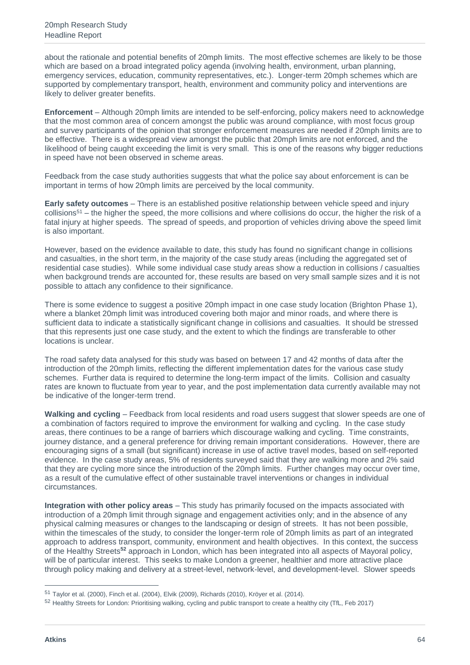about the rationale and potential benefits of 20mph limits. The most effective schemes are likely to be those which are based on a broad integrated policy agenda (involving health, environment, urban planning, emergency services, education, community representatives, etc.). Longer-term 20mph schemes which are supported by complementary transport, health, environment and community policy and interventions are likely to deliver greater benefits.

**Enforcement** – Although 20mph limits are intended to be self-enforcing, policy makers need to acknowledge that the most common area of concern amongst the public was around compliance, with most focus group and survey participants of the opinion that stronger enforcement measures are needed if 20mph limits are to be effective. There is a widespread view amongst the public that 20mph limits are not enforced, and the likelihood of being caught exceeding the limit is very small. This is one of the reasons why bigger reductions in speed have not been observed in scheme areas.

Feedback from the case study authorities suggests that what the police say about enforcement is can be important in terms of how 20mph limits are perceived by the local community.

**Early safety outcomes** – There is an established positive relationship between vehicle speed and injury  $collisions<sup>51</sup>$  – the higher the speed, the more collisions and where collisions do occur, the higher the risk of a fatal injury at higher speeds. The spread of speeds, and proportion of vehicles driving above the speed limit is also important.

However, based on the evidence available to date, this study has found no significant change in collisions and casualties, in the short term, in the majority of the case study areas (including the aggregated set of residential case studies). While some individual case study areas show a reduction in collisions / casualties when background trends are accounted for, these results are based on very small sample sizes and it is not possible to attach any confidence to their significance.

There is some evidence to suggest a positive 20mph impact in one case study location (Brighton Phase 1), where a blanket 20mph limit was introduced covering both major and minor roads, and where there is sufficient data to indicate a statistically significant change in collisions and casualties. It should be stressed that this represents just one case study, and the extent to which the findings are transferable to other locations is unclear.

The road safety data analysed for this study was based on between 17 and 42 months of data after the introduction of the 20mph limits, reflecting the different implementation dates for the various case study schemes. Further data is required to determine the long-term impact of the limits. Collision and casualty rates are known to fluctuate from year to year, and the post implementation data currently available may not be indicative of the longer-term trend.

**Walking and cycling** – Feedback from local residents and road users suggest that slower speeds are one of a combination of factors required to improve the environment for walking and cycling. In the case study areas, there continues to be a range of barriers which discourage walking and cycling. Time constraints, journey distance, and a general preference for driving remain important considerations. However, there are encouraging signs of a small (but significant) increase in use of active travel modes, based on self-reported evidence. In the case study areas, 5% of residents surveyed said that they are walking more and 2% said that they are cycling more since the introduction of the 20mph limits. Further changes may occur over time, as a result of the cumulative effect of other sustainable travel interventions or changes in individual circumstances.

**Integration with other policy areas** – This study has primarily focused on the impacts associated with introduction of a 20mph limit through signage and engagement activities only; and in the absence of any physical calming measures or changes to the landscaping or design of streets. It has not been possible, within the timescales of the study, to consider the longer-term role of 20mph limits as part of an integrated approach to address transport, community, environment and health objectives. In this context, the success of the Healthy Streets**<sup>52</sup>** approach in London, which has been integrated into all aspects of Mayoral policy, will be of particular interest. This seeks to make London a greener, healthier and more attractive place through policy making and delivery at a street-level, network-level, and development-level. Slower speeds

 $\overline{a}$ 

<sup>51</sup> Taylor et al. (2000), Finch et al. (2004), Elvik (2009), Richards (2010), Kröyer et al. (2014).

<sup>&</sup>lt;sup>52</sup> Healthy Streets for London: Prioritising walking, cycling and public transport to create a healthy city (TfL, Feb 2017)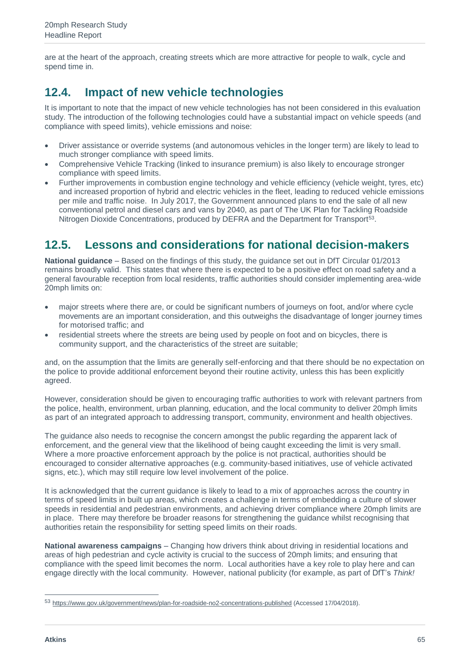are at the heart of the approach, creating streets which are more attractive for people to walk, cycle and spend time in.

## **12.4. Impact of new vehicle technologies**

It is important to note that the impact of new vehicle technologies has not been considered in this evaluation study. The introduction of the following technologies could have a substantial impact on vehicle speeds (and compliance with speed limits), vehicle emissions and noise:

- Driver assistance or override systems (and autonomous vehicles in the longer term) are likely to lead to much stronger compliance with speed limits.
- Comprehensive Vehicle Tracking (linked to insurance premium) is also likely to encourage stronger compliance with speed limits.
- Further improvements in combustion engine technology and vehicle efficiency (vehicle weight, tyres, etc) and increased proportion of hybrid and electric vehicles in the fleet, leading to reduced vehicle emissions per mile and traffic noise. In July 2017, the Government announced plans to end the sale of all new conventional petrol and diesel cars and vans by 2040, as part of The UK Plan for Tackling Roadside Nitrogen Dioxide Concentrations, produced by DEFRA and the Department for Transport<sup>53</sup>.

### **12.5. Lessons and considerations for national decision-makers**

**National guidance** – Based on the findings of this study, the guidance set out in DfT Circular 01/2013 remains broadly valid. This states that where there is expected to be a positive effect on road safety and a general favourable reception from local residents, traffic authorities should consider implementing area-wide 20mph limits on:

- major streets where there are, or could be significant numbers of journeys on foot, and/or where cycle movements are an important consideration, and this outweighs the disadvantage of longer journey times for motorised traffic; and
- residential streets where the streets are being used by people on foot and on bicycles, there is community support, and the characteristics of the street are suitable;

and, on the assumption that the limits are generally self-enforcing and that there should be no expectation on the police to provide additional enforcement beyond their routine activity, unless this has been explicitly agreed.

However, consideration should be given to encouraging traffic authorities to work with relevant partners from the police, health, environment, urban planning, education, and the local community to deliver 20mph limits as part of an integrated approach to addressing transport, community, environment and health objectives.

The guidance also needs to recognise the concern amongst the public regarding the apparent lack of enforcement, and the general view that the likelihood of being caught exceeding the limit is very small. Where a more proactive enforcement approach by the police is not practical, authorities should be encouraged to consider alternative approaches (e.g. community-based initiatives, use of vehicle activated signs, etc.), which may still require low level involvement of the police.

It is acknowledged that the current guidance is likely to lead to a mix of approaches across the country in terms of speed limits in built up areas, which creates a challenge in terms of embedding a culture of slower speeds in residential and pedestrian environments, and achieving driver compliance where 20mph limits are in place. There may therefore be broader reasons for strengthening the guidance whilst recognising that authorities retain the responsibility for setting speed limits on their roads.

**National awareness campaigns** – Changing how drivers think about driving in residential locations and areas of high pedestrian and cycle activity is crucial to the success of 20mph limits; and ensuring that compliance with the speed limit becomes the norm. Local authorities have a key role to play here and can engage directly with the local community. However, national publicity (for example, as part of DfT's *Think!*

<sup>53</sup> <https://www.gov.uk/government/news/plan-for-roadside-no2-concentrations-published> (Accessed 17/04/2018).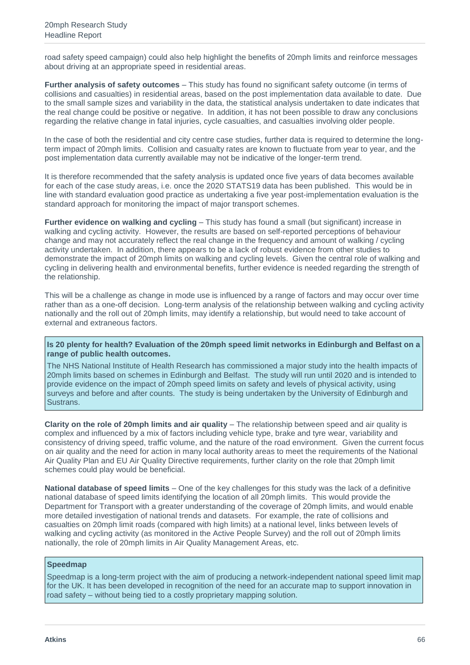road safety speed campaign) could also help highlight the benefits of 20mph limits and reinforce messages about driving at an appropriate speed in residential areas.

**Further analysis of safety outcomes** – This study has found no significant safety outcome (in terms of collisions and casualties) in residential areas, based on the post implementation data available to date. Due to the small sample sizes and variability in the data, the statistical analysis undertaken to date indicates that the real change could be positive or negative. In addition, it has not been possible to draw any conclusions regarding the relative change in fatal injuries, cycle casualties, and casualties involving older people.

In the case of both the residential and city centre case studies, further data is required to determine the longterm impact of 20mph limits. Collision and casualty rates are known to fluctuate from year to year, and the post implementation data currently available may not be indicative of the longer-term trend.

It is therefore recommended that the safety analysis is updated once five years of data becomes available for each of the case study areas, i.e. once the 2020 STATS19 data has been published. This would be in line with standard evaluation good practice as undertaking a five year post-implementation evaluation is the standard approach for monitoring the impact of major transport schemes.

**Further evidence on walking and cycling** – This study has found a small (but significant) increase in walking and cycling activity. However, the results are based on self-reported perceptions of behaviour change and may not accurately reflect the real change in the frequency and amount of walking / cycling activity undertaken. In addition, there appears to be a lack of robust evidence from other studies to demonstrate the impact of 20mph limits on walking and cycling levels. Given the central role of walking and cycling in delivering health and environmental benefits, further evidence is needed regarding the strength of the relationship.

This will be a challenge as change in mode use is influenced by a range of factors and may occur over time rather than as a one-off decision. Long-term analysis of the relationship between walking and cycling activity nationally and the roll out of 20mph limits, may identify a relationship, but would need to take account of external and extraneous factors.

**Is 20 plenty for health? Evaluation of the 20mph speed limit networks in Edinburgh and Belfast on a range of public health outcomes.**

The NHS National Institute of Health Research has commissioned a major study into the health impacts of 20mph limits based on schemes in Edinburgh and Belfast. The study will run until 2020 and is intended to provide evidence on the impact of 20mph speed limits on safety and levels of physical activity, using surveys and before and after counts. The study is being undertaken by the University of Edinburgh and Sustrans.

**Clarity on the role of 20mph limits and air quality** – The relationship between speed and air quality is complex and influenced by a mix of factors including vehicle type, brake and tyre wear, variability and consistency of driving speed, traffic volume, and the nature of the road environment. Given the current focus on air quality and the need for action in many local authority areas to meet the requirements of the National Air Quality Plan and EU Air Quality Directive requirements, further clarity on the role that 20mph limit schemes could play would be beneficial.

**National database of speed limits** – One of the key challenges for this study was the lack of a definitive national database of speed limits identifying the location of all 20mph limits. This would provide the Department for Transport with a greater understanding of the coverage of 20mph limits, and would enable more detailed investigation of national trends and datasets. For example, the rate of collisions and casualties on 20mph limit roads (compared with high limits) at a national level, links between levels of walking and cycling activity (as monitored in the Active People Survey) and the roll out of 20mph limits nationally, the role of 20mph limits in Air Quality Management Areas, etc.

#### **Speedmap**

Speedmap is a long-term project with the aim of producing a network-independent national speed limit map for the UK. It has been developed in recognition of the need for an accurate map to support innovation in road safety – without being tied to a costly proprietary mapping solution.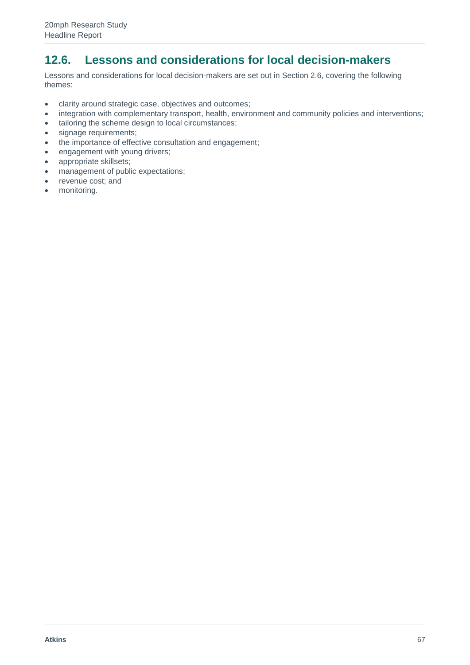## **12.6. Lessons and considerations for local decision-makers**

Lessons and considerations for local decision-makers are set out in Section 2.6, covering the following themes:

- clarity around strategic case, objectives and outcomes;
- integration with complementary transport, health, environment and community policies and interventions;
- tailoring the scheme design to local circumstances;
- signage requirements;
- the importance of effective consultation and engagement;
- engagement with young drivers;
- appropriate skillsets;
- management of public expectations;
- revenue cost; and
- monitoring.